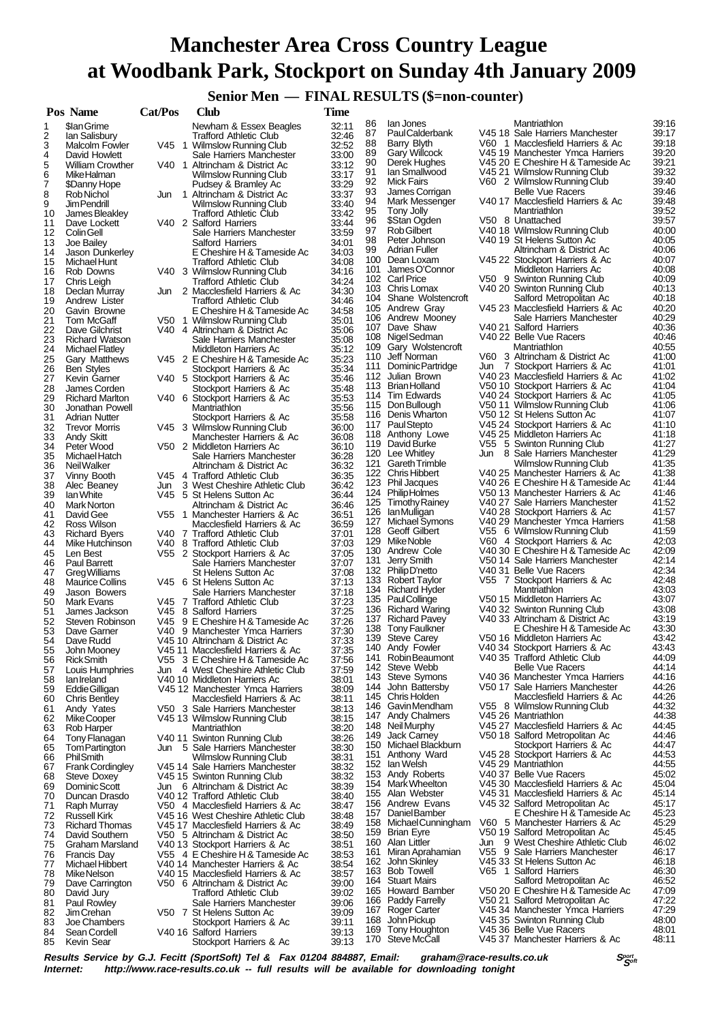# **Manchester Area Cross Country League at Woodbank Park, Stockport on Sunday 4th January 2009**

**Senior Men — FINAL RESULTS (\$=non-counter)**<br>
Time

|          | Pos Name                                     | Cat/Pos | Club                                                                    | <b>Time</b>    |          |                                           |     |                                                                        |                |
|----------|----------------------------------------------|---------|-------------------------------------------------------------------------|----------------|----------|-------------------------------------------|-----|------------------------------------------------------------------------|----------------|
| 1        | \$lan Grime                                  |         | Newham & Essex Beagles                                                  | 32:11          | 86       | lan Jones                                 |     | Mantriathlon                                                           | 39:16          |
| 2        | lan Salisbury                                |         | <b>Trafford Athletic Club</b>                                           | 32:46          | 87       | <b>PaulCalderbank</b>                     |     | V45 18 Sale Harriers Manchester                                        | 39:17          |
| 3        | Malcolm Fowler                               |         | V45 1 Wilmslow Running Club                                             | 32:52          | 88       | Barry Blyth                               |     | V60 1 Macclesfield Harriers & Ac                                       | 39:18          |
| 4        | David Howlett                                |         | Sale Harriers Manchester                                                | 33:00          | 89       | <b>Gary Willcock</b>                      |     | V45 19 Manchester Ymca Harriers                                        | 39:20          |
| 5        | <b>William Crowther</b>                      |         | V40 1 Altrincham & District Ac                                          | 33:12          | 90<br>91 | Derek Hughes<br>lan Smallwood             |     | V45 20 E Cheshire H & Tameside Ac<br>V45 21 Wilmslow Running Club      | 39:21<br>39:32 |
| 6<br>7   | Mike Halman                                  |         | Wilmslow Running Club                                                   | 33:17          | 92       | Mick Fairs                                |     | V60 2 Wilmslow Running Club                                            | 39.40          |
| 8        | \$Danny Hope<br>Rob Nichol                   | Jun     | Pudsey & Bramley Ac<br>1 Altrincham & District Ac                       | 33:29<br>33:37 | 93       | James Corrigan                            |     | <b>Belle Vue Racers</b>                                                | 39:46          |
| 9        | Jim Pendrill                                 |         | Wilmslow Running Club                                                   | 33:40          | 94       | Mark Messenger                            |     | V40 17 Macclesfield Harriers & Ac                                      | 39:48          |
| 10       | James Bleakley                               |         | <b>Trafford Athletic Club</b>                                           | 33:42          | 95       | Tony Jolly                                |     | Mantriathlon                                                           | 39.52          |
| 11       | Dave Lockett                                 |         | V40 2 Salford Harriers                                                  | 33:44          | 96       | \$Stan Ogden                              |     | V50 8 Unattached                                                       | 39:57          |
| 12       | <b>Colin Gell</b>                            |         | Sale Harriers Manchester                                                | 33.59          | 97       | Rob Gilbert                               |     | V40 18 Wilmslow Running Club                                           | 40:00          |
| 13       | Joe Bailey                                   |         | Salford Harriers                                                        | 34:01          | 98       | Peter Johnson<br><b>Adrian Fuller</b>     |     | V40 19 St Helens Sutton Ac                                             | 40:05          |
| 14       | Jason Dunkerley                              |         | E Cheshire H & Tameside Ac                                              | 34:03          | 99       | 100 Dean Loxam                            |     | Altrincham & District Ac<br>V45 22 Stockport Harriers & Ac             | 40:06<br>40:07 |
| 15       | Michael Hunt                                 |         | <b>Trafford Athletic Club</b>                                           | 34:08          | 101      | James O'Connor                            |     | Middleton Harriers Ac                                                  | 40:08          |
| 16<br>17 | Rob Downs<br>Chris Leigh                     |         | V40 3 Wilmslow Running Club<br><b>Trafford Athletic Club</b>            | 34:16<br>34:24 |          | 102 Carl Price                            |     | V50 9 Swinton Running Club                                             | 40:09          |
| 18       | Declan Murray                                |         | Jun 2 Macclesfield Harriers & Ac                                        | 34:30          |          | 103 Chris Lomax                           |     | V40 20 Swinton Running Club                                            | 40:13          |
| 19       | Andrew Lister                                |         | <b>Trafford Athletic Club</b>                                           | 34:46          |          | 104 Shane Wolstencroft                    |     | Salford Metropolitan Ac                                                | 40:18          |
| 20       | Gavin Browne                                 |         | E Cheshire H & Tameside Ac                                              | 34:58          |          | 105 Andrew Gray                           |     | V45 23 Macclesfield Harriers & Ac                                      | 40:20          |
| 21       | Tom McGaff                                   |         | V50 1 Wilmslow Running Club                                             | 35:01          |          | 106 Andrew Mooney                         |     | Sale Harriers Manchester                                               | 40:29          |
| 22       | Dave Gilchrist                               |         | V40 4 Altrincham & District Ac                                          | 35:06          |          | 107 Dave Shaw                             |     | V40 21 Salford Harriers<br>V40 22 Belle Vue Racers                     | 40:36<br>40:46 |
| 23       | <b>Richard Watson</b>                        |         | Sale Harriers Manchester                                                | 35.08          |          | 108 Nigel Sedman<br>109 Gary Wolstencroft |     | Mantriathlon                                                           | 40:55          |
| 24       | Michael Flatley                              |         | Middleton Harriers Ac                                                   | 35:12          |          | 110 Jeff Norman                           |     | V60 3 Altrincham & District Ac                                         | 41:00          |
| 25<br>26 | Gary Matthews<br><b>Ben Styles</b>           |         | V45 2 E Cheshire H & Tameside Ac<br>Stockport Harriers & Ac             | 35:23<br>35:34 |          | 111 Dominic Partridge                     |     | Jun 7 Stockport Harriers & Ac                                          | 41:01          |
| 27       | Kevin Garner                                 |         | V40 5 Stockport Harriers & Ac                                           | 35:46          |          | 112 Julian Brown                          |     | V40 23 Macclesfield Harriers & Ac                                      | 41:02          |
| 28       | James Corden                                 |         | Stockport Harriers & Ac                                                 | 35:48          |          | 113 Brian Holland                         |     | V50 10 Stockport Harriers & Ac                                         | 41:04          |
| 29       | <b>Richard Marlton</b>                       |         | V40 6 Stockport Harriers & Ac                                           | 35:53          |          | 114 Tim Edwards                           |     | V40 24 Stockport Harriers & Ac                                         | 41:05          |
| 30       | Jonathan Powell                              |         | Mantriathlon                                                            | 35:56          |          | 115 Don Bullough                          |     | V50 11 Wilmslow Running Club                                           | 41:06          |
| 31       | <b>Adrian Nutter</b>                         |         | Stockport Harriers & Ac                                                 | 35:58          |          | 116 Denis Wharton                         |     | V50 12 St Helens Sutton Ac                                             | 41:07          |
| 32       | <b>Trevor Morris</b>                         |         | V45 3 Wilmslow Running Club                                             | 36:00          |          | 117 Paul Stepto                           |     | V45 24 Stockport Harriers & Ac                                         | 41:10<br>41:18 |
| 33       | Andy Skitt                                   |         | Manchester Harriers & Ac                                                | 36:08          |          | 118 Anthony Lowe<br>119 David Burke       |     | V45 25 Middleton Harriers Ac<br>V55 5 Swinton Running Club             | 41:27          |
| 34       | Peter Wood                                   |         | V50 2 Middleton Harriers Ac                                             | 36:10          |          | 120 Lee Whitley                           | Jun | 8 Sale Harriers Manchester                                             | 41:29          |
| 35<br>36 | Michael Hatch<br>Neil Walker                 |         | Sale Harriers Manchester<br>Altrincham & District Ac                    | 36:28<br>36:32 |          | 121 Gareth Trimble                        |     | Wilmslow Running Club                                                  | 41:35          |
| 37       | Vinny Booth                                  |         | V45 4 Trafford Athletic Club                                            | 36:35          |          | 122 Chris Hibbert                         |     | V40 25 Manchester Harriers & Ac                                        | 41:38          |
| 38       | Alec Beaney                                  | Jun     | 3 West Cheshire Athletic Club                                           | 36:42          |          | 123 Phil Jacques                          |     | V40 26 E Cheshire H & Tameside Ac                                      | 41:44          |
| 39       | lan White                                    |         | V45 5 St Helens Sutton Ac                                               | 36:44          |          | 124 PhilipHolmes                          |     | V50 13 Manchester Harriers & Ac                                        | 41:46          |
| 40       | Mark Norton                                  |         | Altrincham & District Ac                                                | 36:46          |          | 125 Timothy Rainey                        |     | V40 27 Sale Harriers Manchester                                        | 41:52          |
| 41       | David Gee                                    |         | V55 1 Manchester Harriers & Ac                                          | 36:51          |          | 126 IanMulligan                           |     | V40 28 Stockport Harriers & Ac                                         | 41:57          |
| 42       | Ross Wilson                                  |         | Macclesfield Harriers & Ac                                              | 36:59          |          | 127 Michael Symons<br>128 Geoff Gilbert   |     | V40 29 Manchester Ymca Harriers<br>V55 6 Wilmslow Running Club         | 41:58<br>41:59 |
| 43       | <b>Richard Byers</b>                         |         | V40 7 Trafford Athletic Club                                            | 37:01          | 129      | Mike Noble                                |     | V60 4 Stockport Harriers & Ac                                          | 42:03          |
| 44<br>45 | Mike Hutchinson<br>Len Best                  |         | V40 8 Trafford Athletic Club<br>V55 2 Stockport Harriers & Ac           | 37:03<br>37:05 | 130      | Andrew Cole                               |     | V40 30 E Cheshire H & Tameside Ac                                      | 42:09          |
| 46       | Paul Barrett                                 |         | Sale Harriers Manchester                                                | 37:07          | 131      | Jerry Smith                               |     | V50 14 Sale Harriers Manchester                                        | 42:14          |
| 47       | Greg Williams                                |         | St Helens Sutton Ac                                                     | 37:08          |          | 132 Philip D'netto                        |     | V40 31 Belle Vue Racers                                                | 42:34          |
| 48       | <b>Maurice Collins</b>                       |         | V45 6 St Helens Sutton Ac                                               | 37:13          |          | 133 Robert Taylor                         |     | V55 7 Stockport Harriers & Ac                                          | 42:48          |
| 49       | Jason Bowers                                 |         | Sale Harriers Manchester                                                | 37:18          |          | 134 Richard Hyder                         |     | Mantriathlon                                                           | 43:03          |
| 50       | Mark Evans                                   |         | V45 7 Trafford Athletic Club                                            | 37:23          |          | 135 PaulCollinge                          |     | V50 15 Middleton Harriers Ac                                           | 43:07          |
| 51       | James Jackson                                |         | V45 8 Salford Harriers                                                  | 37:25          |          | 136 Richard Waring<br>137 Richard Pavey   |     | V40 32 Swinton Running Club<br>V40 33 Altrincham & District Ac         | 43:08<br>43:19 |
| 52       | Steven Robinson                              | V45.    | 9 E Cheshire H & Tameside Ac                                            | 37:26          | 138      | Tony Faulkner                             |     | E Cheshire H & Tameside Ac                                             | 43:30          |
| 53<br>54 | Dave Garner<br>Dave Rudd                     |         | V40 9 Manchester Ymca Harriers<br>V45 10 Altrincham & District Ac       | 37:30<br>37:33 |          | 139 Steve Carey                           |     | V50 16 Middleton Harriers Ac                                           | 43:42          |
| 55       | John Mooney                                  |         | V45 11 Macclesfield Harriers & Ac                                       | 37:35          |          | 140 Andy Fowler                           |     | V40 34 Stockport Harriers & Ac                                         | 43:43          |
| 56       | <b>Rick Smith</b>                            |         | V55 3 E Cheshire H & Tameside Ac                                        | 37:56          | 141      | Robin Beaumont                            |     | V40 35 Trafford Athletic Club                                          | 44:09          |
| 57       | Louis Humphries                              | Jun     | 4 West Cheshire Athletic Club                                           | 37:59          | 142      | Steve Webb                                |     | <b>Belle Vue Racers</b>                                                | 44:14          |
| 58       | lan Ireland                                  |         | V40 10 Middleton Harriers Ac                                            | 38.01          | 143      | Steve Symons                              |     | V40 36 Manchester Ymca Harriers                                        | 44:16          |
| 59       | Eddie Gilligan                               |         | V45 12 Manchester Ymca Harriers                                         | 38:09          | 144      | John Battersby                            |     | V50 17 Sale Harriers Manchester<br>Macclesfield Harriers & Ac          | 44:26<br>44:26 |
| 60       | Chris Bentley                                |         | Macclesfield Harriers & Ac                                              | 38:11          |          | 145 Chris Holden<br>146 Gavin Mendham     |     | V55 8 Wilmslow Running Club                                            | 44:32          |
| 61       | Andy Yates                                   |         | V50 3 Sale Harriers Manchester                                          | 38:13          |          | 147 Andy Chalmers                         |     | V45 26 Mantriathlon                                                    | 44:38          |
| 62<br>63 | Mike Cooper<br>Rob Harper                    |         | V45 13 Wilmslow Running Club<br>Mantriathlon                            | 38:15<br>38:20 |          | 148 Neil Murphy                           |     | V45 27 Macclesfield Harriers & Ac                                      | 44:45          |
| 64       | Tony Flanagan                                |         | V40 11 Swinton Running Club                                             | 38:26          | 149      | Jack Carney                               |     | V50 18 Salford Metropolitan Ac                                         | 44:46          |
| 65       | <b>Tom Partington</b>                        | Jun     | 5 Sale Harriers Manchester                                              | 38:30          | 150      | Michael Blackburn                         |     | Stockport Harriers & Ac                                                | 44:47          |
| 66       | <b>PhilSmith</b>                             |         | Wilmslow Running Club                                                   | 38:31          | 151      | Anthony Ward                              |     | V45 28 Stockport Harriers & Ac                                         | 44:53          |
| 67       | <b>Frank Cordingley</b>                      |         | V45 14 Sale Harriers Manchester                                         | 38:32          | 152      | lan Welsh                                 |     | V45 29 Mantriathlon                                                    | 44:55          |
| 68       | Steve Doxey                                  |         | V45 15 Swinton Running Club                                             | 38:32          |          | 153 Andy Roberts<br>154 Mark Wheelton     |     | V40 37 Belle Vue Racers                                                | 45:02          |
| 69       | Dominic Scott                                |         | Jun 6 Altrincham & District Ac                                          | 38:39          |          | 155 Alan Webster                          |     | V45 30 Macclesfield Harriers & Ac<br>V45 31 Macclesfield Harriers & Ac | 45:04<br>45:14 |
| 70       | Duncan Drasdo                                |         | V40 12 Trafford Athletic Club                                           | 38:40          |          | 156 Andrew Evans                          |     | V45 32 Salford Metropolitan Ac                                         | 45:17          |
| 71       | Raph Murray                                  |         | V50 4 Macclesfield Harriers & Ac                                        | 38:47          | 157      | Daniel Bamber                             |     | E Cheshire H & Tameside Ac                                             | 45:23          |
| 72<br>73 | <b>Russell Kirk</b><br><b>Richard Thomas</b> |         | V45 16 West Cheshire Athletic Club<br>V45 17 Macclesfield Harriers & Ac | 38:48<br>38:49 |          | 158 Michael Cunningham                    |     | V60 5 Manchester Harriers & Ac                                         | 45:29          |
| 74       | David Southern                               |         | V50 5 Altrincham & District Ac                                          | 38:50          |          | 159 Brian Eyre                            |     | V50 19 Salford Metropolitan Ac                                         | 45:45          |
| 75       | Graham Marsland                              |         | V40 13 Stockport Harriers & Ac                                          | 38:51          | 160      | Alan Littler                              | Jun | 9 West Cheshire Athletic Club                                          | 46:02          |
| 76       | <b>Francis Day</b>                           |         | V55 4 E Cheshire H & Tameside Ac                                        | 38:53          | 161      | Miran Aprahamian                          |     | V55 9 Sale Harriers Manchester                                         | 46:17          |
| 77       | Michael Hibbert                              |         | V40 14 Manchester Harriers & Ac                                         | 38:54          | 162      | John Skinley                              |     | V45 33 St Helens Sutton Ac                                             | 46:18          |
| 78       | Mike Nelson                                  |         | V40 15 Macclesfield Harriers & Ac                                       | 38:57          | 163      | <b>Bob Towell</b>                         | V65 | 1 Salford Harriers                                                     | 46:30          |
| 79       | Dave Carrington                              |         | V50 6 Altrincham & District Ac                                          | 39:00          |          | 164 Stuart Mairs                          |     | Salford Metropolitan Ac                                                | 46:52<br>47:09 |
| 80       | David Jury                                   |         | Trafford Athletic Club                                                  | 39:02          |          | 165 Howard Bamber<br>166 Paddy Farrelly   |     | V50 20 E Cheshire H & Tameside Ac<br>V50 21 Salford Metropolitan Ac    | 47:22          |
| 81<br>82 | Paul Rowley<br>Jim Crehan                    |         | Sale Harriers Manchester<br>V50 7 St Helens Sutton Ac                   | 39:06<br>39:09 | 167      | Roger Carter                              |     | V45 34 Manchester Ymca Harriers                                        | 47:29          |
| 83       | Joe Chambers                                 |         | Stockport Harriers & Ac                                                 | 39:11          | 168      | John Pickup                               |     | V45 35 Swinton Running Club                                            | 48:00          |
| 84       | Sean Cordell                                 |         | V40 16 Salford Harriers                                                 | 39:13          | 169      | Tony Houghton                             |     | V45 36 Belle Vue Racers                                                | 48:01          |
| 85       | Kevin Sear                                   |         | Stockport Harriers & Ac                                                 | 39:13          |          | 170 Steve McCall                          |     | V45 37 Manchester Harriers & Ac                                        | 48:11          |

**Results Service by G.J. Fecitt (SportSoft) Tel & Fax 01204 884887, Email: graham@race-results.co.uk Special Special Special Special Contention of the system of the system of the principle of the internet: http://www.race**http://www.race-results.co.uk -- full results will be available for downloading tonight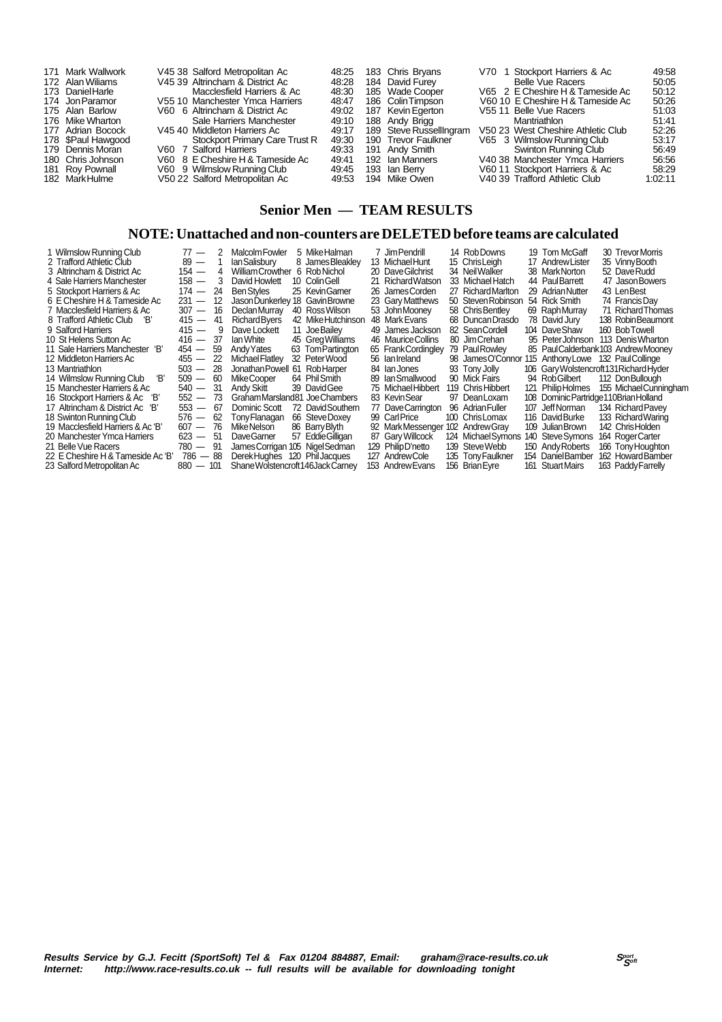| 171 Mark Wallwork<br>172 Alan Wiliams<br>173 Daniel Harle<br>174 Jon Paramor<br>175 Alan Barlow<br>176 Mike Wharton<br>177 Adrian Bocock<br>178 \$Paul Hawgood<br>179 Dennis Moran<br>180 Chris Johnson | V60 7 Salford Harriers | V45.38 Salford Metropolitan Ac<br>V45 39 Altrincham & District Ac<br>Macclesfield Harriers & Ac<br>V55 10 Manchester Ymca Harriers<br>V60 6 Altrincham & District Ac<br>Sale Harriers Manchester<br>V45 40 Middleton Harriers Ac<br>Stockport Primary Care Trust R<br>V60 8 E Cheshire H & Tameside Ac | 48.25<br>48:28<br>48:30<br>48:47<br>49:02<br>49:10<br>49:17<br>49.30<br>49.33<br>49:41 | 183 Chris Brvans<br>184 David Furey<br>185 Wade Cooper<br>186 Colin Timpson<br>187 Kevin Egerton<br>188 Andy Brigg<br>189 Steve RussellIngram<br>190 Trevor Faulkner<br>191 Andy Smith<br>192 Ian Manners | V70 1 Stockport Harriers & Ac<br>Belle Vue Racers<br>V65 2 E Cheshire H & Tameside Ac<br>V60 10 E Cheshire H & Tameside Ac<br>V55 11 Belle Vue Racers<br>Mantriathlon<br>V50 23 West Cheshire Athletic Club<br>V65 3 Wilmslow Running Club<br>Swinton Running Club<br>V40 38 Manchester Ymca Harriers | 49.58<br>50:05<br>50:12<br>50:26<br>51:03<br>51:41<br>52:26<br>53:17<br>56.49<br>56.56 |
|---------------------------------------------------------------------------------------------------------------------------------------------------------------------------------------------------------|------------------------|--------------------------------------------------------------------------------------------------------------------------------------------------------------------------------------------------------------------------------------------------------------------------------------------------------|----------------------------------------------------------------------------------------|-----------------------------------------------------------------------------------------------------------------------------------------------------------------------------------------------------------|-------------------------------------------------------------------------------------------------------------------------------------------------------------------------------------------------------------------------------------------------------------------------------------------------------|----------------------------------------------------------------------------------------|
| 181 Roy Pownall<br>182 MarkHulme                                                                                                                                                                        |                        | V60 9 Wilmslow Running Club<br>V50 22 Salford Metropolitan Ac                                                                                                                                                                                                                                          | 49:45                                                                                  | 193 Ian Berry<br>49:53 194 Mike Owen                                                                                                                                                                      | V60 11 Stockport Harriers & Ac<br>V40 39 Trafford Athletic Club                                                                                                                                                                                                                                       | 58.29<br>1:02:11                                                                       |

## **Senior Men — TEAM RESULTS**

#### **NOTE: Unattached and non-counters are DELETED before teams are calculated**

| Wilmslow Running Club              | $77 -$       | 2   | Malcolm Fowler                     |     | 5 Mike Halman      |    | 7 Jim Pendrill      | 14 Rob Downs       | 19 Tom McGaff                           | 30 Trevor Morris                     |
|------------------------------------|--------------|-----|------------------------------------|-----|--------------------|----|---------------------|--------------------|-----------------------------------------|--------------------------------------|
| 2 Trafford Athletic Club           | $89 -$       |     | lan Salisbury                      |     | 8 James Bleakley   |    | 13 Michael Hunt     | 15 ChrisLeiah      | 17 Andrew Lister                        | 35 Vinny Booth                       |
| 3 Altrincham & District Ac         | 154 —        | 4   | <b>William Crowther</b>            |     | 6 Rob Nichol       |    | 20 Dave Gilchrist   | 34 Neil Walker     | 38 MarkNorton                           | 52 Dave Rudd                         |
| 4 Sale Harriers Manchester         | $158 -$      | - 3 | David Howlett                      |     | 10 Colin Gell      | 21 | Richard Watson      | 33 Michael Hatch   | 44 PaulBarrett                          | 47 Jason Bowers                      |
| 5 Stockport Harriers & Ac          | 174 —        | -24 | <b>Ben Styles</b>                  |     | 25 Kevin Garner    |    | 26 James Corden     | 27 Richard Marlton | 29 Adrian Nutter                        | 43 LenBest                           |
| 6 E Cheshire H & Tameside Ac       | $231 -$      | 12  | Jason Dunkerley 18 Gavin Browne    |     |                    |    | 23 Gary Matthews    | 50 Steven Robinson | 54 Rick Smith                           | 74 Francis Day                       |
| 7 Macclesfield Harriers & Ac       | $307 -$      | -16 | Declan Murrav                      |     | 40 Ross Wilson     |    | 53 John Moonev      | 58 Chris Bentley   | 69 RaphMurray                           | 71 Richard Thomas                    |
| 8 Trafford Athletic Club<br>'В'    | $415 -$      | -41 | Richard Byers                      |     | 42 Mike Hutchinson |    | 48 Mark Evans       | 68 Duncan Drasdo   | 78 David Jury                           | 138 Robin Beaumont                   |
| 9 Salford Harriers                 | $415 -$      | - 9 | Dave Lockett                       |     | 11 JoeBailev       |    | 49 James Jackson    | 82 Sean Cordell    | 104 DaveShaw                            | 160 Bob Towell                       |
| 10 St Helens Sutton Ac             | $416 - 37$   |     | lan White                          |     | 45 Greg Williams   |    | 46 Maurice Collins  | 80 Jim Crehan      | 95 PeterJohnson                         | 113 Denis Wharton                    |
| 11 Sale Harriers Manchester<br>'В' | $454 - 59$   |     | Andy Yates                         |     | 63 Tom Partington  |    | 65 Frank Cordingley | 79 Paul Rowley     |                                         | 85 Paul Calderbank 103 Andrew Mooney |
| 12 Middleton Harriers Ac           | $455 - 22$   |     | Michael Flatley                    |     | 32 PeterWood       |    | 56 Ian Ireland      | 98 JamesO'Connor   | 115 Anthony Lowe 132 Paul Collinge      |                                      |
| 13 Mantriathlon                    | $503 - 28$   |     | Jonathan Powell                    | -61 | RobHarper          |    | 84 Ian Jones        | 93 Tony Jolly      | 106 Gary Wolstencroft 131 Richard Hyder |                                      |
| Έ<br>14 Wilmslow Running Club      | $509 - 60$   |     | Mike Cooper                        |     | 64 Phil Smith      |    | 89 Ian Smallwood    | 90 Mick Fairs      | 94 RobGilbert                           | 112 DonBullough                      |
| 15 Manchester Harriers & Ac        | $540 - 31$   |     | Andy Skitt                         |     | 39 David Gee       |    | 75 Michael Hibbert  | 119 Chris Hibbert  | 121 PhilipHolmes                        | 155 Michael Cunningham               |
| 16 Stockport Harriers & Ac<br>ΈВ   | $552 -$      | -73 | GrahamMarsland81 JoeChambers       |     |                    |    | 83 KevinSear        | 97 DeanLoxam       | 108 Dominic Partridge 110 Brian Holland |                                      |
| 17 Altrincham & District Ac 'B'    | $553 - 67$   |     | Dominic Scott                      |     | 72 David Southern  |    | 77 DaveCarrington   | 96 Adrian Fuller   | 107 Jeff Norman                         | 134 Richard Pavey                    |
| 18 Swinton Running Club            | 576 —        | 62  | Tony Flanagan                      |     | 66 Steve Doxey     |    | 99 Carl Price       | 100 Chris Lomax    | 116 DavidBurke                          | 133 Richard Waring                   |
| 19 Macclesfield Harriers & Ac 'B'  | $607 - 76$   |     | <b>MikeNelson</b>                  |     | 86 Barry Blyth     |    | 92 MarkMessenger    | 102 Andrew Gray    | 109 Julian Brown                        | 142 Chris Holden                     |
| 20 Manchester Ymca Harriers        | $623 - 51$   |     | DaveGamer                          |     | 57 Eddie Gilligan  |    | 87 Gary Willcock    | 124 Michael Symons | 140 Steve Symons                        | 164 Roger Carter                     |
| 21 Belle Vue Racers                | $-91$<br>780 |     | James Corrigan 105 Nigel Sedman    |     |                    |    | 129 Philip D'netto  | 139 Steve Webb     | 150 Andy Roberts                        | 166 Tony Houghton                    |
| 22 E Cheshire H & Tameside Ac 'B'  | $786 - 88$   |     | Derek Huahes                       |     | 120 Phil Jacques   |    | 127 AndrewCole      | 135 Tony Faulkner  | 154 Daniel Bamber                       | 162 HowardBamber                     |
| 23 Salford Metropolitan Ac         | $880 - 101$  |     | Shane Wolstencroft 146 Jack Carney |     |                    |    | 153 Andrew Evans    | 156 Brian Eyre     | 161 Stuart Mairs                        | 163 Paddy Farrelly                   |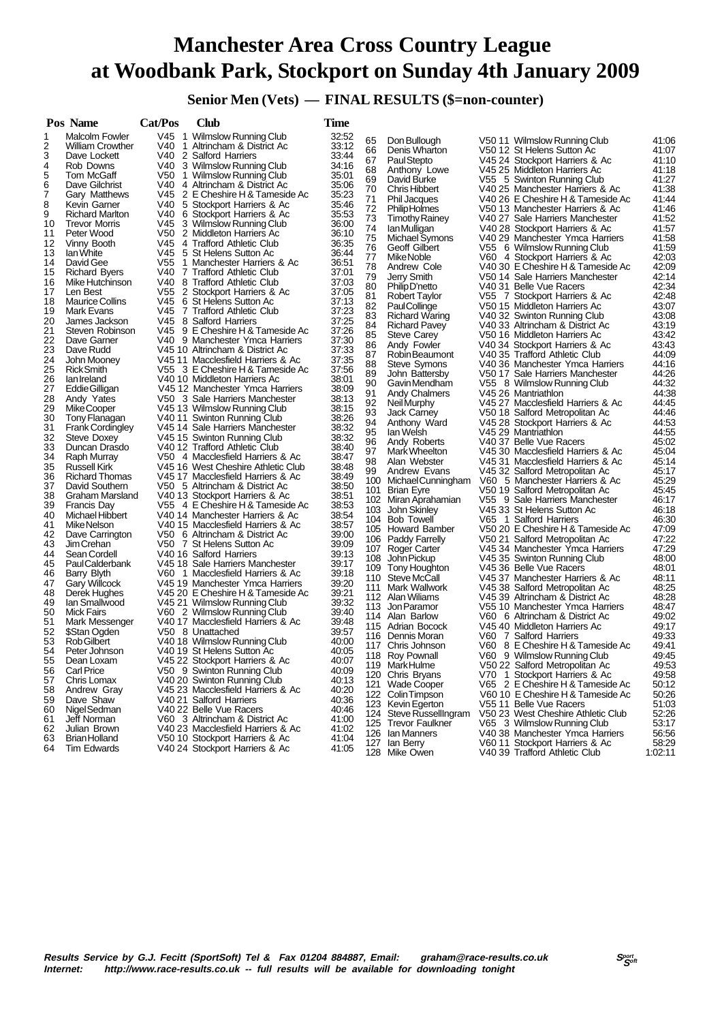# **Manchester Area Cross Country League at Woodbank Park, Stockport on Sunday 4th January 2009**

 **Senior Men (Vets) — FINAL RESULTS (\$=non-counter)**

| V45 1 Wilmslow Running Club<br>32:52<br><b>Malcolm Fowler</b><br>1<br>65<br>41:06<br>Don Bullough<br>V50 11 Wilmslow Running Club<br>33:12<br>2<br>V40<br><b>William Crowther</b><br>1 Altrincham & District Ac<br>41:07<br>66<br>Denis Wharton<br>V50 12 St Helens Sutton Ac<br>3<br>V40 2 Salford Harriers<br>Dave Lockett<br>33:44<br>67<br>Paul Stepto<br>V45 24 Stockport Harriers & Ac<br>41:10<br>4<br>V40<br>3 Wilmslow Running Club<br>34:16<br>Rob Downs<br>68<br>41:18<br>V45 25 Middleton Harriers Ac<br>Anthony Lowe<br>5<br>35:01<br>Tom McGaff<br>V50<br>1 Wilmslow Running Club<br>41:27<br>69<br>David Burke<br>V55 5 Swinton Running Club<br>6<br>Dave Gilchrist<br>V40 4 Altrincham & District Ac<br>35.06<br>41:38<br>70<br><b>Chris Hibbert</b><br>V40 25 Manchester Harriers & Ac<br>7<br>V45 2 E Cheshire H & Tameside Ac<br>35:23<br>Gary Matthews<br>71<br>41:44<br>V40 26 E Cheshire H & Tameside Ac<br>Phil Jacques<br>8<br>5 Stockport Harriers & Ac<br>35:46<br>V40.<br>Kevin Garner<br>41:46<br>72<br><b>PhilipHolmes</b><br>V50 13 Manchester Harriers & Ac<br>9<br>35:53<br><b>Richard Marlton</b><br>V40 6 Stockport Harriers & Ac<br>73<br>41:52<br><b>Timothy Rainey</b><br>V40 27 Sale Harriers Manchester<br>10<br>V45 3 Wilmslow Running Club<br>36:00<br><b>Trevor Morris</b><br>74<br>41:57<br>V40 28 Stockport Harriers & Ac<br>lan Mulligan<br>V50<br>2 Middleton Harriers Ac<br>36:10<br>11<br>Peter Wood<br>75<br>41:58<br>Michael Symons<br>V40 29 Manchester Ymca Harriers<br>V45 4 Trafford Athletic Club<br>12<br>Vinny Booth<br>36.35<br>41:59<br>76<br>Geoff Gilbert<br>V55 6 Wilmslow Running Club<br>V45 5 St Helens Sutton Ac<br>13<br>lan White<br>36:44<br>77<br>V60 4 Stockport Harriers & Ac<br>42:03<br>Mike Noble<br>V55<br>36:51<br>14<br>David Gee<br>1 Manchester Harriers & Ac<br>42:09<br>78<br>Andrew Cole<br>V40 30 E Cheshire H & Tameside Ac<br>15<br><b>Richard Byers</b><br>V40 7 Trafford Athletic Club<br>37:01<br>79<br>42:14<br>Jerry Smith<br>V50 14 Sale Harriers Manchester<br>V40<br>8 Trafford Athletic Club<br>37:03<br>16<br>Mike Hutchinson<br>42:34<br>80<br>Philip D'netto<br>V40 31 Belle Vue Racers<br>V55<br>2 Stockport Harriers & Ac<br>37:05<br>17<br>Len Best<br>42:48<br>81<br>Robert Taylor<br>V55 7 Stockport Harriers & Ac<br>V45 6 St Helens Sutton Ac<br>18<br><b>Maurice Collins</b><br>37.13<br>82<br>PaulCollinge<br>V50 15 Middleton Harriers Ac<br>43:07<br>19<br>V45 7 Trafford Athletic Club<br>37:23<br>Mark Evans<br>83<br>43:08<br><b>Richard Waring</b><br>V40 32 Swinton Running Club<br>20<br>V45<br>8 Salford Harriers<br>37:25<br>James Jackson<br>84<br>43:19<br><b>Richard Pavey</b><br>V40 33 Altrincham & District Ac<br>V45 9 E Cheshire H & Tameside Ac<br>21<br>Steven Robinson<br>37.26<br>85<br>V50 16 Middleton Harriers Ac<br>43:42<br><b>Steve Carey</b><br>37:30<br>22<br>V40 9 Manchester Ymca Harriers<br>Dave Garner<br>43:43<br>86<br>Andy Fowler<br>V40 34 Stockport Harriers & Ac<br>23<br>37:33<br>Dave Rudd<br>V45 10 Altrincham & District Ac<br>44:09<br>87<br>Robin Beaumont<br>V40 35 Trafford Athletic Club<br>37:35<br>24<br>John Mooney<br>V45 11 Macclesfield Harriers & Ac<br>44:16<br>88<br>V40 36 Manchester Ymca Harriers<br>Steve Symons<br>25<br><b>Rick Smith</b><br>V55 3 E Cheshire H & Tameside Ac<br>37:56<br>44:26<br>89<br>John Battersby<br>V50 17 Sale Harriers Manchester<br>38:01<br>26<br>lan Ireland<br>V40 10 Middleton Harriers Ac<br>44:32<br>90<br>Gavin Mendham<br>V55 8 Wilmslow Running Club<br>38:09<br>27<br>Eddie Gilligan<br>V45 12 Manchester Ymca Harriers<br>44:38<br>91<br><b>Andy Chalmers</b><br>V45 26 Mantriathlon<br>28<br>38:13<br>Andy Yates<br>V50 3 Sale Harriers Manchester<br>44:45<br>92<br>Neil Murphy<br>V45 27 Macclesfield Harriers & Ac<br>29<br>V45 13 Wilmslow Running Club<br>38:15<br><b>MikeCooper</b><br>44:46<br>93<br><b>Jack Carney</b><br>V50 18 Salford Metropolitan Ac<br>30<br>38:26<br>Tony Flanagan<br>V40 11 Swinton Running Club<br>44:53<br>94<br>Anthony Ward<br>V45 28 Stockport Harriers & Ac<br>31<br>38:32<br><b>Frank Cordingley</b><br>V45 14 Sale Harriers Manchester<br>95<br>44:55<br>lan Welsh<br>V45 29 Mantriathlon<br>32<br>38:32<br>Steve Doxey<br>V45 15 Swinton Running Club<br>45:02<br>96<br>Andy Roberts<br>V40 37 Belle Vue Racers<br>33<br>Duncan Drasdo<br>V40 12 Trafford Athletic Club<br>38:40<br>97<br>Mark Wheelton<br>V45 30 Macclesfield Harriers & Ac<br>45:04<br>34<br>V50 4 Macclesfield Harriers & Ac<br>38:47<br>Raph Murray<br>45:14<br>98<br>Alan Webster<br>V45 31 Macclesfield Harriers & Ac<br>35<br>38:48<br>Russell Kirk<br>V45 16 West Cheshire Athletic Club<br>45:17<br>99<br>Andrew Evans<br>V45 32 Salford Metropolitan Ac<br>38:49<br>36<br><b>Richard Thomas</b><br>V45 17 Macclesfield Harriers & Ac<br>100 Michael Cunningham<br>V60 5 Manchester Harriers & Ac<br>45.29<br>37<br>V50 5 Altrincham & District Ac<br>38:50<br>David Southern<br>45:45<br>101 Brian Eyre<br>V50 19 Salford Metropolitan Ac<br>38:51<br>38<br>Graham Marsland<br>V40 13 Stockport Harriers & Ac<br>46:17<br>102 Miran Aprahamian<br>V55 9 Sale Harriers Manchester<br>39<br>38:53<br><b>Francis Day</b><br>V55 4 E Cheshire H & Tameside Ac<br>46:18<br>John Skinley<br>V45 33 St Helens Sutton Ac<br>103<br>40<br>Michael Hibbert<br>38:54<br>V40 14 Manchester Harriers & Ac<br>46:30<br>V65 1 Salford Harriers<br>104 Bob Towell<br>38:57<br>41<br>Mike Nelson<br>V40 15 Macclesfield Harriers & Ac<br>105 Howard Bamber<br>V50 20 E Cheshire H & Tameside Ac<br>47:09<br>42<br>Dave Carrington<br>V50 6 Altrincham & District Ac<br>39:00<br>47:22<br>V50 21 Salford Metropolitan Ac<br>106 Paddy Farrelly<br>43<br>V50 7 St Helens Sutton Ac<br>39:09<br>Jim Crehan<br>47:29<br>V45 34 Manchester Ymca Harriers<br>107 Roger Carter<br>39:13<br>44<br>Sean Cordell<br>V40 16 Salford Harriers<br>48:00<br>John Pickup<br>V45 35 Swinton Running Club<br>108<br>45<br><b>PaulCalderbank</b><br>V45 18 Sale Harriers Manchester<br>39:17<br>109 Tony Houghton<br>V45 36 Belle Vue Racers<br>48:01<br>46<br>39:18<br>Barry Blyth<br>V60 1 Macclesfield Harriers & Ac<br>48:11<br>110 Steve McCall<br>V45 37 Manchester Harriers & Ac<br>39:20<br>47<br><b>Gary Willcock</b><br>V45 19 Manchester Ymca Harriers<br>48:25<br>111 Mark Wallwork<br>V45 38 Salford Metropolitan Ac<br>48<br>Derek Hughes<br>V45 20 E Cheshire H & Tameside Ac<br>39.21<br>48:28<br>112 Alan Wiliams<br>V45 39 Altrincham & District Ac<br>49<br>39:32<br>lan Smallwood<br>V45 21 Wilmslow Running Club<br>V55 10 Manchester Ymca Harriers<br>48:47<br>113 Jon Paramor<br>39:40<br>50<br><b>Mick Fairs</b><br>V60 2 Wilmslow Running Club<br>V60 6 Altrincham & District Ac<br>49:02<br>114 Alan Barlow<br>51<br>Mark Messenger<br>V40 17 Macclesfield Harriers & Ac<br>39.48<br>V45 40 Middleton Harriers Ac<br>49:17<br>115 Adrian Bocock<br>52<br>\$Stan Ogden<br>V50 8 Unattached<br>39.57<br>49:33<br>V60 7 Salford Harriers<br>116 Dennis Moran<br>53<br>40:00<br>Rob Gilbert<br>V40 18 Wilmslow Running Club<br>49:41<br>V60 8 E Cheshire H & Tameside Ac<br>117 Chris Johnson<br>54<br>Peter Johnson<br>V40 19 St Helens Sutton Ac<br>40:05<br>V60 9 Wilmslow Running Club<br>49:45<br>118 Roy Pownall<br>55<br>V45 22 Stockport Harriers & Ac<br>40:07<br>Dean Loxam<br>119 MarkHulme<br>V50 22 Salford Metropolitan Ac<br>49.53<br>V50 9 Swinton Running Club<br><b>Carl Price</b><br>40:09<br>56<br>49:58<br>120 Chris Bryans<br>V70 1 Stockport Harriers & Ac<br>V40 20 Swinton Running Club<br>40:13<br>57<br>Chris Lomax<br>2 E Cheshire H & Tameside Ac<br>50:12<br>Wade Cooper<br>V65<br>121<br>40:20<br>58<br>Andrew Gray<br>V45 23 Macclesfield Harriers & Ac<br>Colin Timpson<br>V60 10 E Cheshire H & Tameside Ac<br>50:26<br>122<br>Dave Shaw<br>V40 21 Salford Harriers<br>40:36<br>59<br>123 Kevin Egerton<br>V55 11 Belle Vue Racers<br>51:03<br>Nigel Sedman<br>V40 22 Belle Vue Racers<br>40:46<br>60<br>52:26<br>Steve RussellIngram<br>V50 23 West Cheshire Athletic Club<br>124<br>Jeff Norman<br>V60 3 Altrincham & District Ac<br>41:00<br>61<br>53:17<br>125 Trevor Faulkner<br>V65 3 Wilmslow Running Club<br>62<br>Julian Brown<br>V40 23 Macclesfield Harriers & Ac<br>41:02<br>126 Ian Manners<br>V40 38 Manchester Ymca Harriers<br>56:56<br><b>Brian Holland</b><br>41:04<br>63<br>V50 10 Stockport Harriers & Ac<br>58:29<br>127 Ian Berry<br>V60 11 Stockport Harriers & Ac<br>Tim Edwards<br>V40 24 Stockport Harriers & Ac<br>64<br>41:05<br>128 Mike Owen<br>V40 39 Trafford Athletic Club<br>1:02:11 | Pos Name | Cat/Pos | Club | Time |  |  |  |
|---------------------------------------------------------------------------------------------------------------------------------------------------------------------------------------------------------------------------------------------------------------------------------------------------------------------------------------------------------------------------------------------------------------------------------------------------------------------------------------------------------------------------------------------------------------------------------------------------------------------------------------------------------------------------------------------------------------------------------------------------------------------------------------------------------------------------------------------------------------------------------------------------------------------------------------------------------------------------------------------------------------------------------------------------------------------------------------------------------------------------------------------------------------------------------------------------------------------------------------------------------------------------------------------------------------------------------------------------------------------------------------------------------------------------------------------------------------------------------------------------------------------------------------------------------------------------------------------------------------------------------------------------------------------------------------------------------------------------------------------------------------------------------------------------------------------------------------------------------------------------------------------------------------------------------------------------------------------------------------------------------------------------------------------------------------------------------------------------------------------------------------------------------------------------------------------------------------------------------------------------------------------------------------------------------------------------------------------------------------------------------------------------------------------------------------------------------------------------------------------------------------------------------------------------------------------------------------------------------------------------------------------------------------------------------------------------------------------------------------------------------------------------------------------------------------------------------------------------------------------------------------------------------------------------------------------------------------------------------------------------------------------------------------------------------------------------------------------------------------------------------------------------------------------------------------------------------------------------------------------------------------------------------------------------------------------------------------------------------------------------------------------------------------------------------------------------------------------------------------------------------------------------------------------------------------------------------------------------------------------------------------------------------------------------------------------------------------------------------------------------------------------------------------------------------------------------------------------------------------------------------------------------------------------------------------------------------------------------------------------------------------------------------------------------------------------------------------------------------------------------------------------------------------------------------------------------------------------------------------------------------------------------------------------------------------------------------------------------------------------------------------------------------------------------------------------------------------------------------------------------------------------------------------------------------------------------------------------------------------------------------------------------------------------------------------------------------------------------------------------------------------------------------------------------------------------------------------------------------------------------------------------------------------------------------------------------------------------------------------------------------------------------------------------------------------------------------------------------------------------------------------------------------------------------------------------------------------------------------------------------------------------------------------------------------------------------------------------------------------------------------------------------------------------------------------------------------------------------------------------------------------------------------------------------------------------------------------------------------------------------------------------------------------------------------------------------------------------------------------------------------------------------------------------------------------------------------------------------------------------------------------------------------------------------------------------------------------------------------------------------------------------------------------------------------------------------------------------------------------------------------------------------------------------------------------------------------------------------------------------------------------------------------------------------------------------------------------------------------------------------------------------------------------------------------------------------------------------------------------------------------------------------------------------------------------------------------------------------------------------------------------------------------------------------------------------------------------------------------------------------------------------------------------------------------------------------------------------------------------------------------------------------------------------------------------------------------------------------------------------------------------------------------------------------------------------------------------------------------------------------------------------------------------------------------------------------------------------------------------------------------------------------------------------------------------------------------------------------------------------------------------------------------------------------------------------------------------------------------------------------------------------------------------------------------------------------------------------------------------------------------------------------------------------------------------------------------------------------------------------------------------------------------------------------------------------------------------------------------------------------------------------------------------------------------------------------------------------------------------------------------------------------------------------------------------------------------------------------------------------------------------------------------------------------------------------------------------------------------------------------------------------------------------------------------------------------------------------------------------------------------------------------------------------------------------------------------------------------------------------------------------------------------------------------------------------------------------------------------------------------------------------------------------------------------|----------|---------|------|------|--|--|--|
|                                                                                                                                                                                                                                                                                                                                                                                                                                                                                                                                                                                                                                                                                                                                                                                                                                                                                                                                                                                                                                                                                                                                                                                                                                                                                                                                                                                                                                                                                                                                                                                                                                                                                                                                                                                                                                                                                                                                                                                                                                                                                                                                                                                                                                                                                                                                                                                                                                                                                                                                                                                                                                                                                                                                                                                                                                                                                                                                                                                                                                                                                                                                                                                                                                                                                                                                                                                                                                                                                                                                                                                                                                                                                                                                                                                                                                                                                                                                                                                                                                                                                                                                                                                                                                                                                                                                                                                                                                                                                                                                                                                                                                                                                                                                                                                                                                                                                                                                                                                                                                                                                                                                                                                                                                                                                                                                                                                                                                                                                                                                                                                                                                                                                                                                                                                                                                                                                                                                                                                                                                                                                                                                                                                                                                                                                                                                                                                                                                                                                                                                                                                                                                                                                                                                                                                                                                                                                                                                                                                                                                                                                                                                                                                                                                                                                                                                                                                                                                                                                                                                                                                                                                                                                                                                                                                                                                                                                                                                                                                                                                                                                                                                                                                                                                                                                                                                                                                                                                                                                                                                                                                                                                                                                 |          |         |      |      |  |  |  |
|                                                                                                                                                                                                                                                                                                                                                                                                                                                                                                                                                                                                                                                                                                                                                                                                                                                                                                                                                                                                                                                                                                                                                                                                                                                                                                                                                                                                                                                                                                                                                                                                                                                                                                                                                                                                                                                                                                                                                                                                                                                                                                                                                                                                                                                                                                                                                                                                                                                                                                                                                                                                                                                                                                                                                                                                                                                                                                                                                                                                                                                                                                                                                                                                                                                                                                                                                                                                                                                                                                                                                                                                                                                                                                                                                                                                                                                                                                                                                                                                                                                                                                                                                                                                                                                                                                                                                                                                                                                                                                                                                                                                                                                                                                                                                                                                                                                                                                                                                                                                                                                                                                                                                                                                                                                                                                                                                                                                                                                                                                                                                                                                                                                                                                                                                                                                                                                                                                                                                                                                                                                                                                                                                                                                                                                                                                                                                                                                                                                                                                                                                                                                                                                                                                                                                                                                                                                                                                                                                                                                                                                                                                                                                                                                                                                                                                                                                                                                                                                                                                                                                                                                                                                                                                                                                                                                                                                                                                                                                                                                                                                                                                                                                                                                                                                                                                                                                                                                                                                                                                                                                                                                                                                                                 |          |         |      |      |  |  |  |
|                                                                                                                                                                                                                                                                                                                                                                                                                                                                                                                                                                                                                                                                                                                                                                                                                                                                                                                                                                                                                                                                                                                                                                                                                                                                                                                                                                                                                                                                                                                                                                                                                                                                                                                                                                                                                                                                                                                                                                                                                                                                                                                                                                                                                                                                                                                                                                                                                                                                                                                                                                                                                                                                                                                                                                                                                                                                                                                                                                                                                                                                                                                                                                                                                                                                                                                                                                                                                                                                                                                                                                                                                                                                                                                                                                                                                                                                                                                                                                                                                                                                                                                                                                                                                                                                                                                                                                                                                                                                                                                                                                                                                                                                                                                                                                                                                                                                                                                                                                                                                                                                                                                                                                                                                                                                                                                                                                                                                                                                                                                                                                                                                                                                                                                                                                                                                                                                                                                                                                                                                                                                                                                                                                                                                                                                                                                                                                                                                                                                                                                                                                                                                                                                                                                                                                                                                                                                                                                                                                                                                                                                                                                                                                                                                                                                                                                                                                                                                                                                                                                                                                                                                                                                                                                                                                                                                                                                                                                                                                                                                                                                                                                                                                                                                                                                                                                                                                                                                                                                                                                                                                                                                                                                                 |          |         |      |      |  |  |  |
|                                                                                                                                                                                                                                                                                                                                                                                                                                                                                                                                                                                                                                                                                                                                                                                                                                                                                                                                                                                                                                                                                                                                                                                                                                                                                                                                                                                                                                                                                                                                                                                                                                                                                                                                                                                                                                                                                                                                                                                                                                                                                                                                                                                                                                                                                                                                                                                                                                                                                                                                                                                                                                                                                                                                                                                                                                                                                                                                                                                                                                                                                                                                                                                                                                                                                                                                                                                                                                                                                                                                                                                                                                                                                                                                                                                                                                                                                                                                                                                                                                                                                                                                                                                                                                                                                                                                                                                                                                                                                                                                                                                                                                                                                                                                                                                                                                                                                                                                                                                                                                                                                                                                                                                                                                                                                                                                                                                                                                                                                                                                                                                                                                                                                                                                                                                                                                                                                                                                                                                                                                                                                                                                                                                                                                                                                                                                                                                                                                                                                                                                                                                                                                                                                                                                                                                                                                                                                                                                                                                                                                                                                                                                                                                                                                                                                                                                                                                                                                                                                                                                                                                                                                                                                                                                                                                                                                                                                                                                                                                                                                                                                                                                                                                                                                                                                                                                                                                                                                                                                                                                                                                                                                                                                 |          |         |      |      |  |  |  |
|                                                                                                                                                                                                                                                                                                                                                                                                                                                                                                                                                                                                                                                                                                                                                                                                                                                                                                                                                                                                                                                                                                                                                                                                                                                                                                                                                                                                                                                                                                                                                                                                                                                                                                                                                                                                                                                                                                                                                                                                                                                                                                                                                                                                                                                                                                                                                                                                                                                                                                                                                                                                                                                                                                                                                                                                                                                                                                                                                                                                                                                                                                                                                                                                                                                                                                                                                                                                                                                                                                                                                                                                                                                                                                                                                                                                                                                                                                                                                                                                                                                                                                                                                                                                                                                                                                                                                                                                                                                                                                                                                                                                                                                                                                                                                                                                                                                                                                                                                                                                                                                                                                                                                                                                                                                                                                                                                                                                                                                                                                                                                                                                                                                                                                                                                                                                                                                                                                                                                                                                                                                                                                                                                                                                                                                                                                                                                                                                                                                                                                                                                                                                                                                                                                                                                                                                                                                                                                                                                                                                                                                                                                                                                                                                                                                                                                                                                                                                                                                                                                                                                                                                                                                                                                                                                                                                                                                                                                                                                                                                                                                                                                                                                                                                                                                                                                                                                                                                                                                                                                                                                                                                                                                                                 |          |         |      |      |  |  |  |
|                                                                                                                                                                                                                                                                                                                                                                                                                                                                                                                                                                                                                                                                                                                                                                                                                                                                                                                                                                                                                                                                                                                                                                                                                                                                                                                                                                                                                                                                                                                                                                                                                                                                                                                                                                                                                                                                                                                                                                                                                                                                                                                                                                                                                                                                                                                                                                                                                                                                                                                                                                                                                                                                                                                                                                                                                                                                                                                                                                                                                                                                                                                                                                                                                                                                                                                                                                                                                                                                                                                                                                                                                                                                                                                                                                                                                                                                                                                                                                                                                                                                                                                                                                                                                                                                                                                                                                                                                                                                                                                                                                                                                                                                                                                                                                                                                                                                                                                                                                                                                                                                                                                                                                                                                                                                                                                                                                                                                                                                                                                                                                                                                                                                                                                                                                                                                                                                                                                                                                                                                                                                                                                                                                                                                                                                                                                                                                                                                                                                                                                                                                                                                                                                                                                                                                                                                                                                                                                                                                                                                                                                                                                                                                                                                                                                                                                                                                                                                                                                                                                                                                                                                                                                                                                                                                                                                                                                                                                                                                                                                                                                                                                                                                                                                                                                                                                                                                                                                                                                                                                                                                                                                                                                                 |          |         |      |      |  |  |  |
|                                                                                                                                                                                                                                                                                                                                                                                                                                                                                                                                                                                                                                                                                                                                                                                                                                                                                                                                                                                                                                                                                                                                                                                                                                                                                                                                                                                                                                                                                                                                                                                                                                                                                                                                                                                                                                                                                                                                                                                                                                                                                                                                                                                                                                                                                                                                                                                                                                                                                                                                                                                                                                                                                                                                                                                                                                                                                                                                                                                                                                                                                                                                                                                                                                                                                                                                                                                                                                                                                                                                                                                                                                                                                                                                                                                                                                                                                                                                                                                                                                                                                                                                                                                                                                                                                                                                                                                                                                                                                                                                                                                                                                                                                                                                                                                                                                                                                                                                                                                                                                                                                                                                                                                                                                                                                                                                                                                                                                                                                                                                                                                                                                                                                                                                                                                                                                                                                                                                                                                                                                                                                                                                                                                                                                                                                                                                                                                                                                                                                                                                                                                                                                                                                                                                                                                                                                                                                                                                                                                                                                                                                                                                                                                                                                                                                                                                                                                                                                                                                                                                                                                                                                                                                                                                                                                                                                                                                                                                                                                                                                                                                                                                                                                                                                                                                                                                                                                                                                                                                                                                                                                                                                                                                 |          |         |      |      |  |  |  |
|                                                                                                                                                                                                                                                                                                                                                                                                                                                                                                                                                                                                                                                                                                                                                                                                                                                                                                                                                                                                                                                                                                                                                                                                                                                                                                                                                                                                                                                                                                                                                                                                                                                                                                                                                                                                                                                                                                                                                                                                                                                                                                                                                                                                                                                                                                                                                                                                                                                                                                                                                                                                                                                                                                                                                                                                                                                                                                                                                                                                                                                                                                                                                                                                                                                                                                                                                                                                                                                                                                                                                                                                                                                                                                                                                                                                                                                                                                                                                                                                                                                                                                                                                                                                                                                                                                                                                                                                                                                                                                                                                                                                                                                                                                                                                                                                                                                                                                                                                                                                                                                                                                                                                                                                                                                                                                                                                                                                                                                                                                                                                                                                                                                                                                                                                                                                                                                                                                                                                                                                                                                                                                                                                                                                                                                                                                                                                                                                                                                                                                                                                                                                                                                                                                                                                                                                                                                                                                                                                                                                                                                                                                                                                                                                                                                                                                                                                                                                                                                                                                                                                                                                                                                                                                                                                                                                                                                                                                                                                                                                                                                                                                                                                                                                                                                                                                                                                                                                                                                                                                                                                                                                                                                                                 |          |         |      |      |  |  |  |
|                                                                                                                                                                                                                                                                                                                                                                                                                                                                                                                                                                                                                                                                                                                                                                                                                                                                                                                                                                                                                                                                                                                                                                                                                                                                                                                                                                                                                                                                                                                                                                                                                                                                                                                                                                                                                                                                                                                                                                                                                                                                                                                                                                                                                                                                                                                                                                                                                                                                                                                                                                                                                                                                                                                                                                                                                                                                                                                                                                                                                                                                                                                                                                                                                                                                                                                                                                                                                                                                                                                                                                                                                                                                                                                                                                                                                                                                                                                                                                                                                                                                                                                                                                                                                                                                                                                                                                                                                                                                                                                                                                                                                                                                                                                                                                                                                                                                                                                                                                                                                                                                                                                                                                                                                                                                                                                                                                                                                                                                                                                                                                                                                                                                                                                                                                                                                                                                                                                                                                                                                                                                                                                                                                                                                                                                                                                                                                                                                                                                                                                                                                                                                                                                                                                                                                                                                                                                                                                                                                                                                                                                                                                                                                                                                                                                                                                                                                                                                                                                                                                                                                                                                                                                                                                                                                                                                                                                                                                                                                                                                                                                                                                                                                                                                                                                                                                                                                                                                                                                                                                                                                                                                                                                                 |          |         |      |      |  |  |  |
|                                                                                                                                                                                                                                                                                                                                                                                                                                                                                                                                                                                                                                                                                                                                                                                                                                                                                                                                                                                                                                                                                                                                                                                                                                                                                                                                                                                                                                                                                                                                                                                                                                                                                                                                                                                                                                                                                                                                                                                                                                                                                                                                                                                                                                                                                                                                                                                                                                                                                                                                                                                                                                                                                                                                                                                                                                                                                                                                                                                                                                                                                                                                                                                                                                                                                                                                                                                                                                                                                                                                                                                                                                                                                                                                                                                                                                                                                                                                                                                                                                                                                                                                                                                                                                                                                                                                                                                                                                                                                                                                                                                                                                                                                                                                                                                                                                                                                                                                                                                                                                                                                                                                                                                                                                                                                                                                                                                                                                                                                                                                                                                                                                                                                                                                                                                                                                                                                                                                                                                                                                                                                                                                                                                                                                                                                                                                                                                                                                                                                                                                                                                                                                                                                                                                                                                                                                                                                                                                                                                                                                                                                                                                                                                                                                                                                                                                                                                                                                                                                                                                                                                                                                                                                                                                                                                                                                                                                                                                                                                                                                                                                                                                                                                                                                                                                                                                                                                                                                                                                                                                                                                                                                                                                 |          |         |      |      |  |  |  |
|                                                                                                                                                                                                                                                                                                                                                                                                                                                                                                                                                                                                                                                                                                                                                                                                                                                                                                                                                                                                                                                                                                                                                                                                                                                                                                                                                                                                                                                                                                                                                                                                                                                                                                                                                                                                                                                                                                                                                                                                                                                                                                                                                                                                                                                                                                                                                                                                                                                                                                                                                                                                                                                                                                                                                                                                                                                                                                                                                                                                                                                                                                                                                                                                                                                                                                                                                                                                                                                                                                                                                                                                                                                                                                                                                                                                                                                                                                                                                                                                                                                                                                                                                                                                                                                                                                                                                                                                                                                                                                                                                                                                                                                                                                                                                                                                                                                                                                                                                                                                                                                                                                                                                                                                                                                                                                                                                                                                                                                                                                                                                                                                                                                                                                                                                                                                                                                                                                                                                                                                                                                                                                                                                                                                                                                                                                                                                                                                                                                                                                                                                                                                                                                                                                                                                                                                                                                                                                                                                                                                                                                                                                                                                                                                                                                                                                                                                                                                                                                                                                                                                                                                                                                                                                                                                                                                                                                                                                                                                                                                                                                                                                                                                                                                                                                                                                                                                                                                                                                                                                                                                                                                                                                                                 |          |         |      |      |  |  |  |
|                                                                                                                                                                                                                                                                                                                                                                                                                                                                                                                                                                                                                                                                                                                                                                                                                                                                                                                                                                                                                                                                                                                                                                                                                                                                                                                                                                                                                                                                                                                                                                                                                                                                                                                                                                                                                                                                                                                                                                                                                                                                                                                                                                                                                                                                                                                                                                                                                                                                                                                                                                                                                                                                                                                                                                                                                                                                                                                                                                                                                                                                                                                                                                                                                                                                                                                                                                                                                                                                                                                                                                                                                                                                                                                                                                                                                                                                                                                                                                                                                                                                                                                                                                                                                                                                                                                                                                                                                                                                                                                                                                                                                                                                                                                                                                                                                                                                                                                                                                                                                                                                                                                                                                                                                                                                                                                                                                                                                                                                                                                                                                                                                                                                                                                                                                                                                                                                                                                                                                                                                                                                                                                                                                                                                                                                                                                                                                                                                                                                                                                                                                                                                                                                                                                                                                                                                                                                                                                                                                                                                                                                                                                                                                                                                                                                                                                                                                                                                                                                                                                                                                                                                                                                                                                                                                                                                                                                                                                                                                                                                                                                                                                                                                                                                                                                                                                                                                                                                                                                                                                                                                                                                                                                                 |          |         |      |      |  |  |  |
|                                                                                                                                                                                                                                                                                                                                                                                                                                                                                                                                                                                                                                                                                                                                                                                                                                                                                                                                                                                                                                                                                                                                                                                                                                                                                                                                                                                                                                                                                                                                                                                                                                                                                                                                                                                                                                                                                                                                                                                                                                                                                                                                                                                                                                                                                                                                                                                                                                                                                                                                                                                                                                                                                                                                                                                                                                                                                                                                                                                                                                                                                                                                                                                                                                                                                                                                                                                                                                                                                                                                                                                                                                                                                                                                                                                                                                                                                                                                                                                                                                                                                                                                                                                                                                                                                                                                                                                                                                                                                                                                                                                                                                                                                                                                                                                                                                                                                                                                                                                                                                                                                                                                                                                                                                                                                                                                                                                                                                                                                                                                                                                                                                                                                                                                                                                                                                                                                                                                                                                                                                                                                                                                                                                                                                                                                                                                                                                                                                                                                                                                                                                                                                                                                                                                                                                                                                                                                                                                                                                                                                                                                                                                                                                                                                                                                                                                                                                                                                                                                                                                                                                                                                                                                                                                                                                                                                                                                                                                                                                                                                                                                                                                                                                                                                                                                                                                                                                                                                                                                                                                                                                                                                                                                 |          |         |      |      |  |  |  |
|                                                                                                                                                                                                                                                                                                                                                                                                                                                                                                                                                                                                                                                                                                                                                                                                                                                                                                                                                                                                                                                                                                                                                                                                                                                                                                                                                                                                                                                                                                                                                                                                                                                                                                                                                                                                                                                                                                                                                                                                                                                                                                                                                                                                                                                                                                                                                                                                                                                                                                                                                                                                                                                                                                                                                                                                                                                                                                                                                                                                                                                                                                                                                                                                                                                                                                                                                                                                                                                                                                                                                                                                                                                                                                                                                                                                                                                                                                                                                                                                                                                                                                                                                                                                                                                                                                                                                                                                                                                                                                                                                                                                                                                                                                                                                                                                                                                                                                                                                                                                                                                                                                                                                                                                                                                                                                                                                                                                                                                                                                                                                                                                                                                                                                                                                                                                                                                                                                                                                                                                                                                                                                                                                                                                                                                                                                                                                                                                                                                                                                                                                                                                                                                                                                                                                                                                                                                                                                                                                                                                                                                                                                                                                                                                                                                                                                                                                                                                                                                                                                                                                                                                                                                                                                                                                                                                                                                                                                                                                                                                                                                                                                                                                                                                                                                                                                                                                                                                                                                                                                                                                                                                                                                                                 |          |         |      |      |  |  |  |
|                                                                                                                                                                                                                                                                                                                                                                                                                                                                                                                                                                                                                                                                                                                                                                                                                                                                                                                                                                                                                                                                                                                                                                                                                                                                                                                                                                                                                                                                                                                                                                                                                                                                                                                                                                                                                                                                                                                                                                                                                                                                                                                                                                                                                                                                                                                                                                                                                                                                                                                                                                                                                                                                                                                                                                                                                                                                                                                                                                                                                                                                                                                                                                                                                                                                                                                                                                                                                                                                                                                                                                                                                                                                                                                                                                                                                                                                                                                                                                                                                                                                                                                                                                                                                                                                                                                                                                                                                                                                                                                                                                                                                                                                                                                                                                                                                                                                                                                                                                                                                                                                                                                                                                                                                                                                                                                                                                                                                                                                                                                                                                                                                                                                                                                                                                                                                                                                                                                                                                                                                                                                                                                                                                                                                                                                                                                                                                                                                                                                                                                                                                                                                                                                                                                                                                                                                                                                                                                                                                                                                                                                                                                                                                                                                                                                                                                                                                                                                                                                                                                                                                                                                                                                                                                                                                                                                                                                                                                                                                                                                                                                                                                                                                                                                                                                                                                                                                                                                                                                                                                                                                                                                                                                                 |          |         |      |      |  |  |  |
|                                                                                                                                                                                                                                                                                                                                                                                                                                                                                                                                                                                                                                                                                                                                                                                                                                                                                                                                                                                                                                                                                                                                                                                                                                                                                                                                                                                                                                                                                                                                                                                                                                                                                                                                                                                                                                                                                                                                                                                                                                                                                                                                                                                                                                                                                                                                                                                                                                                                                                                                                                                                                                                                                                                                                                                                                                                                                                                                                                                                                                                                                                                                                                                                                                                                                                                                                                                                                                                                                                                                                                                                                                                                                                                                                                                                                                                                                                                                                                                                                                                                                                                                                                                                                                                                                                                                                                                                                                                                                                                                                                                                                                                                                                                                                                                                                                                                                                                                                                                                                                                                                                                                                                                                                                                                                                                                                                                                                                                                                                                                                                                                                                                                                                                                                                                                                                                                                                                                                                                                                                                                                                                                                                                                                                                                                                                                                                                                                                                                                                                                                                                                                                                                                                                                                                                                                                                                                                                                                                                                                                                                                                                                                                                                                                                                                                                                                                                                                                                                                                                                                                                                                                                                                                                                                                                                                                                                                                                                                                                                                                                                                                                                                                                                                                                                                                                                                                                                                                                                                                                                                                                                                                                                                 |          |         |      |      |  |  |  |
|                                                                                                                                                                                                                                                                                                                                                                                                                                                                                                                                                                                                                                                                                                                                                                                                                                                                                                                                                                                                                                                                                                                                                                                                                                                                                                                                                                                                                                                                                                                                                                                                                                                                                                                                                                                                                                                                                                                                                                                                                                                                                                                                                                                                                                                                                                                                                                                                                                                                                                                                                                                                                                                                                                                                                                                                                                                                                                                                                                                                                                                                                                                                                                                                                                                                                                                                                                                                                                                                                                                                                                                                                                                                                                                                                                                                                                                                                                                                                                                                                                                                                                                                                                                                                                                                                                                                                                                                                                                                                                                                                                                                                                                                                                                                                                                                                                                                                                                                                                                                                                                                                                                                                                                                                                                                                                                                                                                                                                                                                                                                                                                                                                                                                                                                                                                                                                                                                                                                                                                                                                                                                                                                                                                                                                                                                                                                                                                                                                                                                                                                                                                                                                                                                                                                                                                                                                                                                                                                                                                                                                                                                                                                                                                                                                                                                                                                                                                                                                                                                                                                                                                                                                                                                                                                                                                                                                                                                                                                                                                                                                                                                                                                                                                                                                                                                                                                                                                                                                                                                                                                                                                                                                                                                 |          |         |      |      |  |  |  |
|                                                                                                                                                                                                                                                                                                                                                                                                                                                                                                                                                                                                                                                                                                                                                                                                                                                                                                                                                                                                                                                                                                                                                                                                                                                                                                                                                                                                                                                                                                                                                                                                                                                                                                                                                                                                                                                                                                                                                                                                                                                                                                                                                                                                                                                                                                                                                                                                                                                                                                                                                                                                                                                                                                                                                                                                                                                                                                                                                                                                                                                                                                                                                                                                                                                                                                                                                                                                                                                                                                                                                                                                                                                                                                                                                                                                                                                                                                                                                                                                                                                                                                                                                                                                                                                                                                                                                                                                                                                                                                                                                                                                                                                                                                                                                                                                                                                                                                                                                                                                                                                                                                                                                                                                                                                                                                                                                                                                                                                                                                                                                                                                                                                                                                                                                                                                                                                                                                                                                                                                                                                                                                                                                                                                                                                                                                                                                                                                                                                                                                                                                                                                                                                                                                                                                                                                                                                                                                                                                                                                                                                                                                                                                                                                                                                                                                                                                                                                                                                                                                                                                                                                                                                                                                                                                                                                                                                                                                                                                                                                                                                                                                                                                                                                                                                                                                                                                                                                                                                                                                                                                                                                                                                                                 |          |         |      |      |  |  |  |
|                                                                                                                                                                                                                                                                                                                                                                                                                                                                                                                                                                                                                                                                                                                                                                                                                                                                                                                                                                                                                                                                                                                                                                                                                                                                                                                                                                                                                                                                                                                                                                                                                                                                                                                                                                                                                                                                                                                                                                                                                                                                                                                                                                                                                                                                                                                                                                                                                                                                                                                                                                                                                                                                                                                                                                                                                                                                                                                                                                                                                                                                                                                                                                                                                                                                                                                                                                                                                                                                                                                                                                                                                                                                                                                                                                                                                                                                                                                                                                                                                                                                                                                                                                                                                                                                                                                                                                                                                                                                                                                                                                                                                                                                                                                                                                                                                                                                                                                                                                                                                                                                                                                                                                                                                                                                                                                                                                                                                                                                                                                                                                                                                                                                                                                                                                                                                                                                                                                                                                                                                                                                                                                                                                                                                                                                                                                                                                                                                                                                                                                                                                                                                                                                                                                                                                                                                                                                                                                                                                                                                                                                                                                                                                                                                                                                                                                                                                                                                                                                                                                                                                                                                                                                                                                                                                                                                                                                                                                                                                                                                                                                                                                                                                                                                                                                                                                                                                                                                                                                                                                                                                                                                                                                                 |          |         |      |      |  |  |  |
|                                                                                                                                                                                                                                                                                                                                                                                                                                                                                                                                                                                                                                                                                                                                                                                                                                                                                                                                                                                                                                                                                                                                                                                                                                                                                                                                                                                                                                                                                                                                                                                                                                                                                                                                                                                                                                                                                                                                                                                                                                                                                                                                                                                                                                                                                                                                                                                                                                                                                                                                                                                                                                                                                                                                                                                                                                                                                                                                                                                                                                                                                                                                                                                                                                                                                                                                                                                                                                                                                                                                                                                                                                                                                                                                                                                                                                                                                                                                                                                                                                                                                                                                                                                                                                                                                                                                                                                                                                                                                                                                                                                                                                                                                                                                                                                                                                                                                                                                                                                                                                                                                                                                                                                                                                                                                                                                                                                                                                                                                                                                                                                                                                                                                                                                                                                                                                                                                                                                                                                                                                                                                                                                                                                                                                                                                                                                                                                                                                                                                                                                                                                                                                                                                                                                                                                                                                                                                                                                                                                                                                                                                                                                                                                                                                                                                                                                                                                                                                                                                                                                                                                                                                                                                                                                                                                                                                                                                                                                                                                                                                                                                                                                                                                                                                                                                                                                                                                                                                                                                                                                                                                                                                                                                 |          |         |      |      |  |  |  |
|                                                                                                                                                                                                                                                                                                                                                                                                                                                                                                                                                                                                                                                                                                                                                                                                                                                                                                                                                                                                                                                                                                                                                                                                                                                                                                                                                                                                                                                                                                                                                                                                                                                                                                                                                                                                                                                                                                                                                                                                                                                                                                                                                                                                                                                                                                                                                                                                                                                                                                                                                                                                                                                                                                                                                                                                                                                                                                                                                                                                                                                                                                                                                                                                                                                                                                                                                                                                                                                                                                                                                                                                                                                                                                                                                                                                                                                                                                                                                                                                                                                                                                                                                                                                                                                                                                                                                                                                                                                                                                                                                                                                                                                                                                                                                                                                                                                                                                                                                                                                                                                                                                                                                                                                                                                                                                                                                                                                                                                                                                                                                                                                                                                                                                                                                                                                                                                                                                                                                                                                                                                                                                                                                                                                                                                                                                                                                                                                                                                                                                                                                                                                                                                                                                                                                                                                                                                                                                                                                                                                                                                                                                                                                                                                                                                                                                                                                                                                                                                                                                                                                                                                                                                                                                                                                                                                                                                                                                                                                                                                                                                                                                                                                                                                                                                                                                                                                                                                                                                                                                                                                                                                                                                                                 |          |         |      |      |  |  |  |
|                                                                                                                                                                                                                                                                                                                                                                                                                                                                                                                                                                                                                                                                                                                                                                                                                                                                                                                                                                                                                                                                                                                                                                                                                                                                                                                                                                                                                                                                                                                                                                                                                                                                                                                                                                                                                                                                                                                                                                                                                                                                                                                                                                                                                                                                                                                                                                                                                                                                                                                                                                                                                                                                                                                                                                                                                                                                                                                                                                                                                                                                                                                                                                                                                                                                                                                                                                                                                                                                                                                                                                                                                                                                                                                                                                                                                                                                                                                                                                                                                                                                                                                                                                                                                                                                                                                                                                                                                                                                                                                                                                                                                                                                                                                                                                                                                                                                                                                                                                                                                                                                                                                                                                                                                                                                                                                                                                                                                                                                                                                                                                                                                                                                                                                                                                                                                                                                                                                                                                                                                                                                                                                                                                                                                                                                                                                                                                                                                                                                                                                                                                                                                                                                                                                                                                                                                                                                                                                                                                                                                                                                                                                                                                                                                                                                                                                                                                                                                                                                                                                                                                                                                                                                                                                                                                                                                                                                                                                                                                                                                                                                                                                                                                                                                                                                                                                                                                                                                                                                                                                                                                                                                                                                                 |          |         |      |      |  |  |  |
|                                                                                                                                                                                                                                                                                                                                                                                                                                                                                                                                                                                                                                                                                                                                                                                                                                                                                                                                                                                                                                                                                                                                                                                                                                                                                                                                                                                                                                                                                                                                                                                                                                                                                                                                                                                                                                                                                                                                                                                                                                                                                                                                                                                                                                                                                                                                                                                                                                                                                                                                                                                                                                                                                                                                                                                                                                                                                                                                                                                                                                                                                                                                                                                                                                                                                                                                                                                                                                                                                                                                                                                                                                                                                                                                                                                                                                                                                                                                                                                                                                                                                                                                                                                                                                                                                                                                                                                                                                                                                                                                                                                                                                                                                                                                                                                                                                                                                                                                                                                                                                                                                                                                                                                                                                                                                                                                                                                                                                                                                                                                                                                                                                                                                                                                                                                                                                                                                                                                                                                                                                                                                                                                                                                                                                                                                                                                                                                                                                                                                                                                                                                                                                                                                                                                                                                                                                                                                                                                                                                                                                                                                                                                                                                                                                                                                                                                                                                                                                                                                                                                                                                                                                                                                                                                                                                                                                                                                                                                                                                                                                                                                                                                                                                                                                                                                                                                                                                                                                                                                                                                                                                                                                                                                 |          |         |      |      |  |  |  |
|                                                                                                                                                                                                                                                                                                                                                                                                                                                                                                                                                                                                                                                                                                                                                                                                                                                                                                                                                                                                                                                                                                                                                                                                                                                                                                                                                                                                                                                                                                                                                                                                                                                                                                                                                                                                                                                                                                                                                                                                                                                                                                                                                                                                                                                                                                                                                                                                                                                                                                                                                                                                                                                                                                                                                                                                                                                                                                                                                                                                                                                                                                                                                                                                                                                                                                                                                                                                                                                                                                                                                                                                                                                                                                                                                                                                                                                                                                                                                                                                                                                                                                                                                                                                                                                                                                                                                                                                                                                                                                                                                                                                                                                                                                                                                                                                                                                                                                                                                                                                                                                                                                                                                                                                                                                                                                                                                                                                                                                                                                                                                                                                                                                                                                                                                                                                                                                                                                                                                                                                                                                                                                                                                                                                                                                                                                                                                                                                                                                                                                                                                                                                                                                                                                                                                                                                                                                                                                                                                                                                                                                                                                                                                                                                                                                                                                                                                                                                                                                                                                                                                                                                                                                                                                                                                                                                                                                                                                                                                                                                                                                                                                                                                                                                                                                                                                                                                                                                                                                                                                                                                                                                                                                                                 |          |         |      |      |  |  |  |
|                                                                                                                                                                                                                                                                                                                                                                                                                                                                                                                                                                                                                                                                                                                                                                                                                                                                                                                                                                                                                                                                                                                                                                                                                                                                                                                                                                                                                                                                                                                                                                                                                                                                                                                                                                                                                                                                                                                                                                                                                                                                                                                                                                                                                                                                                                                                                                                                                                                                                                                                                                                                                                                                                                                                                                                                                                                                                                                                                                                                                                                                                                                                                                                                                                                                                                                                                                                                                                                                                                                                                                                                                                                                                                                                                                                                                                                                                                                                                                                                                                                                                                                                                                                                                                                                                                                                                                                                                                                                                                                                                                                                                                                                                                                                                                                                                                                                                                                                                                                                                                                                                                                                                                                                                                                                                                                                                                                                                                                                                                                                                                                                                                                                                                                                                                                                                                                                                                                                                                                                                                                                                                                                                                                                                                                                                                                                                                                                                                                                                                                                                                                                                                                                                                                                                                                                                                                                                                                                                                                                                                                                                                                                                                                                                                                                                                                                                                                                                                                                                                                                                                                                                                                                                                                                                                                                                                                                                                                                                                                                                                                                                                                                                                                                                                                                                                                                                                                                                                                                                                                                                                                                                                                                                 |          |         |      |      |  |  |  |
|                                                                                                                                                                                                                                                                                                                                                                                                                                                                                                                                                                                                                                                                                                                                                                                                                                                                                                                                                                                                                                                                                                                                                                                                                                                                                                                                                                                                                                                                                                                                                                                                                                                                                                                                                                                                                                                                                                                                                                                                                                                                                                                                                                                                                                                                                                                                                                                                                                                                                                                                                                                                                                                                                                                                                                                                                                                                                                                                                                                                                                                                                                                                                                                                                                                                                                                                                                                                                                                                                                                                                                                                                                                                                                                                                                                                                                                                                                                                                                                                                                                                                                                                                                                                                                                                                                                                                                                                                                                                                                                                                                                                                                                                                                                                                                                                                                                                                                                                                                                                                                                                                                                                                                                                                                                                                                                                                                                                                                                                                                                                                                                                                                                                                                                                                                                                                                                                                                                                                                                                                                                                                                                                                                                                                                                                                                                                                                                                                                                                                                                                                                                                                                                                                                                                                                                                                                                                                                                                                                                                                                                                                                                                                                                                                                                                                                                                                                                                                                                                                                                                                                                                                                                                                                                                                                                                                                                                                                                                                                                                                                                                                                                                                                                                                                                                                                                                                                                                                                                                                                                                                                                                                                                                                 |          |         |      |      |  |  |  |
|                                                                                                                                                                                                                                                                                                                                                                                                                                                                                                                                                                                                                                                                                                                                                                                                                                                                                                                                                                                                                                                                                                                                                                                                                                                                                                                                                                                                                                                                                                                                                                                                                                                                                                                                                                                                                                                                                                                                                                                                                                                                                                                                                                                                                                                                                                                                                                                                                                                                                                                                                                                                                                                                                                                                                                                                                                                                                                                                                                                                                                                                                                                                                                                                                                                                                                                                                                                                                                                                                                                                                                                                                                                                                                                                                                                                                                                                                                                                                                                                                                                                                                                                                                                                                                                                                                                                                                                                                                                                                                                                                                                                                                                                                                                                                                                                                                                                                                                                                                                                                                                                                                                                                                                                                                                                                                                                                                                                                                                                                                                                                                                                                                                                                                                                                                                                                                                                                                                                                                                                                                                                                                                                                                                                                                                                                                                                                                                                                                                                                                                                                                                                                                                                                                                                                                                                                                                                                                                                                                                                                                                                                                                                                                                                                                                                                                                                                                                                                                                                                                                                                                                                                                                                                                                                                                                                                                                                                                                                                                                                                                                                                                                                                                                                                                                                                                                                                                                                                                                                                                                                                                                                                                                                                 |          |         |      |      |  |  |  |
|                                                                                                                                                                                                                                                                                                                                                                                                                                                                                                                                                                                                                                                                                                                                                                                                                                                                                                                                                                                                                                                                                                                                                                                                                                                                                                                                                                                                                                                                                                                                                                                                                                                                                                                                                                                                                                                                                                                                                                                                                                                                                                                                                                                                                                                                                                                                                                                                                                                                                                                                                                                                                                                                                                                                                                                                                                                                                                                                                                                                                                                                                                                                                                                                                                                                                                                                                                                                                                                                                                                                                                                                                                                                                                                                                                                                                                                                                                                                                                                                                                                                                                                                                                                                                                                                                                                                                                                                                                                                                                                                                                                                                                                                                                                                                                                                                                                                                                                                                                                                                                                                                                                                                                                                                                                                                                                                                                                                                                                                                                                                                                                                                                                                                                                                                                                                                                                                                                                                                                                                                                                                                                                                                                                                                                                                                                                                                                                                                                                                                                                                                                                                                                                                                                                                                                                                                                                                                                                                                                                                                                                                                                                                                                                                                                                                                                                                                                                                                                                                                                                                                                                                                                                                                                                                                                                                                                                                                                                                                                                                                                                                                                                                                                                                                                                                                                                                                                                                                                                                                                                                                                                                                                                                                 |          |         |      |      |  |  |  |
|                                                                                                                                                                                                                                                                                                                                                                                                                                                                                                                                                                                                                                                                                                                                                                                                                                                                                                                                                                                                                                                                                                                                                                                                                                                                                                                                                                                                                                                                                                                                                                                                                                                                                                                                                                                                                                                                                                                                                                                                                                                                                                                                                                                                                                                                                                                                                                                                                                                                                                                                                                                                                                                                                                                                                                                                                                                                                                                                                                                                                                                                                                                                                                                                                                                                                                                                                                                                                                                                                                                                                                                                                                                                                                                                                                                                                                                                                                                                                                                                                                                                                                                                                                                                                                                                                                                                                                                                                                                                                                                                                                                                                                                                                                                                                                                                                                                                                                                                                                                                                                                                                                                                                                                                                                                                                                                                                                                                                                                                                                                                                                                                                                                                                                                                                                                                                                                                                                                                                                                                                                                                                                                                                                                                                                                                                                                                                                                                                                                                                                                                                                                                                                                                                                                                                                                                                                                                                                                                                                                                                                                                                                                                                                                                                                                                                                                                                                                                                                                                                                                                                                                                                                                                                                                                                                                                                                                                                                                                                                                                                                                                                                                                                                                                                                                                                                                                                                                                                                                                                                                                                                                                                                                                                 |          |         |      |      |  |  |  |
|                                                                                                                                                                                                                                                                                                                                                                                                                                                                                                                                                                                                                                                                                                                                                                                                                                                                                                                                                                                                                                                                                                                                                                                                                                                                                                                                                                                                                                                                                                                                                                                                                                                                                                                                                                                                                                                                                                                                                                                                                                                                                                                                                                                                                                                                                                                                                                                                                                                                                                                                                                                                                                                                                                                                                                                                                                                                                                                                                                                                                                                                                                                                                                                                                                                                                                                                                                                                                                                                                                                                                                                                                                                                                                                                                                                                                                                                                                                                                                                                                                                                                                                                                                                                                                                                                                                                                                                                                                                                                                                                                                                                                                                                                                                                                                                                                                                                                                                                                                                                                                                                                                                                                                                                                                                                                                                                                                                                                                                                                                                                                                                                                                                                                                                                                                                                                                                                                                                                                                                                                                                                                                                                                                                                                                                                                                                                                                                                                                                                                                                                                                                                                                                                                                                                                                                                                                                                                                                                                                                                                                                                                                                                                                                                                                                                                                                                                                                                                                                                                                                                                                                                                                                                                                                                                                                                                                                                                                                                                                                                                                                                                                                                                                                                                                                                                                                                                                                                                                                                                                                                                                                                                                                                                 |          |         |      |      |  |  |  |
|                                                                                                                                                                                                                                                                                                                                                                                                                                                                                                                                                                                                                                                                                                                                                                                                                                                                                                                                                                                                                                                                                                                                                                                                                                                                                                                                                                                                                                                                                                                                                                                                                                                                                                                                                                                                                                                                                                                                                                                                                                                                                                                                                                                                                                                                                                                                                                                                                                                                                                                                                                                                                                                                                                                                                                                                                                                                                                                                                                                                                                                                                                                                                                                                                                                                                                                                                                                                                                                                                                                                                                                                                                                                                                                                                                                                                                                                                                                                                                                                                                                                                                                                                                                                                                                                                                                                                                                                                                                                                                                                                                                                                                                                                                                                                                                                                                                                                                                                                                                                                                                                                                                                                                                                                                                                                                                                                                                                                                                                                                                                                                                                                                                                                                                                                                                                                                                                                                                                                                                                                                                                                                                                                                                                                                                                                                                                                                                                                                                                                                                                                                                                                                                                                                                                                                                                                                                                                                                                                                                                                                                                                                                                                                                                                                                                                                                                                                                                                                                                                                                                                                                                                                                                                                                                                                                                                                                                                                                                                                                                                                                                                                                                                                                                                                                                                                                                                                                                                                                                                                                                                                                                                                                                                 |          |         |      |      |  |  |  |
|                                                                                                                                                                                                                                                                                                                                                                                                                                                                                                                                                                                                                                                                                                                                                                                                                                                                                                                                                                                                                                                                                                                                                                                                                                                                                                                                                                                                                                                                                                                                                                                                                                                                                                                                                                                                                                                                                                                                                                                                                                                                                                                                                                                                                                                                                                                                                                                                                                                                                                                                                                                                                                                                                                                                                                                                                                                                                                                                                                                                                                                                                                                                                                                                                                                                                                                                                                                                                                                                                                                                                                                                                                                                                                                                                                                                                                                                                                                                                                                                                                                                                                                                                                                                                                                                                                                                                                                                                                                                                                                                                                                                                                                                                                                                                                                                                                                                                                                                                                                                                                                                                                                                                                                                                                                                                                                                                                                                                                                                                                                                                                                                                                                                                                                                                                                                                                                                                                                                                                                                                                                                                                                                                                                                                                                                                                                                                                                                                                                                                                                                                                                                                                                                                                                                                                                                                                                                                                                                                                                                                                                                                                                                                                                                                                                                                                                                                                                                                                                                                                                                                                                                                                                                                                                                                                                                                                                                                                                                                                                                                                                                                                                                                                                                                                                                                                                                                                                                                                                                                                                                                                                                                                                                                 |          |         |      |      |  |  |  |
|                                                                                                                                                                                                                                                                                                                                                                                                                                                                                                                                                                                                                                                                                                                                                                                                                                                                                                                                                                                                                                                                                                                                                                                                                                                                                                                                                                                                                                                                                                                                                                                                                                                                                                                                                                                                                                                                                                                                                                                                                                                                                                                                                                                                                                                                                                                                                                                                                                                                                                                                                                                                                                                                                                                                                                                                                                                                                                                                                                                                                                                                                                                                                                                                                                                                                                                                                                                                                                                                                                                                                                                                                                                                                                                                                                                                                                                                                                                                                                                                                                                                                                                                                                                                                                                                                                                                                                                                                                                                                                                                                                                                                                                                                                                                                                                                                                                                                                                                                                                                                                                                                                                                                                                                                                                                                                                                                                                                                                                                                                                                                                                                                                                                                                                                                                                                                                                                                                                                                                                                                                                                                                                                                                                                                                                                                                                                                                                                                                                                                                                                                                                                                                                                                                                                                                                                                                                                                                                                                                                                                                                                                                                                                                                                                                                                                                                                                                                                                                                                                                                                                                                                                                                                                                                                                                                                                                                                                                                                                                                                                                                                                                                                                                                                                                                                                                                                                                                                                                                                                                                                                                                                                                                                                 |          |         |      |      |  |  |  |
|                                                                                                                                                                                                                                                                                                                                                                                                                                                                                                                                                                                                                                                                                                                                                                                                                                                                                                                                                                                                                                                                                                                                                                                                                                                                                                                                                                                                                                                                                                                                                                                                                                                                                                                                                                                                                                                                                                                                                                                                                                                                                                                                                                                                                                                                                                                                                                                                                                                                                                                                                                                                                                                                                                                                                                                                                                                                                                                                                                                                                                                                                                                                                                                                                                                                                                                                                                                                                                                                                                                                                                                                                                                                                                                                                                                                                                                                                                                                                                                                                                                                                                                                                                                                                                                                                                                                                                                                                                                                                                                                                                                                                                                                                                                                                                                                                                                                                                                                                                                                                                                                                                                                                                                                                                                                                                                                                                                                                                                                                                                                                                                                                                                                                                                                                                                                                                                                                                                                                                                                                                                                                                                                                                                                                                                                                                                                                                                                                                                                                                                                                                                                                                                                                                                                                                                                                                                                                                                                                                                                                                                                                                                                                                                                                                                                                                                                                                                                                                                                                                                                                                                                                                                                                                                                                                                                                                                                                                                                                                                                                                                                                                                                                                                                                                                                                                                                                                                                                                                                                                                                                                                                                                                                                 |          |         |      |      |  |  |  |
|                                                                                                                                                                                                                                                                                                                                                                                                                                                                                                                                                                                                                                                                                                                                                                                                                                                                                                                                                                                                                                                                                                                                                                                                                                                                                                                                                                                                                                                                                                                                                                                                                                                                                                                                                                                                                                                                                                                                                                                                                                                                                                                                                                                                                                                                                                                                                                                                                                                                                                                                                                                                                                                                                                                                                                                                                                                                                                                                                                                                                                                                                                                                                                                                                                                                                                                                                                                                                                                                                                                                                                                                                                                                                                                                                                                                                                                                                                                                                                                                                                                                                                                                                                                                                                                                                                                                                                                                                                                                                                                                                                                                                                                                                                                                                                                                                                                                                                                                                                                                                                                                                                                                                                                                                                                                                                                                                                                                                                                                                                                                                                                                                                                                                                                                                                                                                                                                                                                                                                                                                                                                                                                                                                                                                                                                                                                                                                                                                                                                                                                                                                                                                                                                                                                                                                                                                                                                                                                                                                                                                                                                                                                                                                                                                                                                                                                                                                                                                                                                                                                                                                                                                                                                                                                                                                                                                                                                                                                                                                                                                                                                                                                                                                                                                                                                                                                                                                                                                                                                                                                                                                                                                                                                                 |          |         |      |      |  |  |  |
|                                                                                                                                                                                                                                                                                                                                                                                                                                                                                                                                                                                                                                                                                                                                                                                                                                                                                                                                                                                                                                                                                                                                                                                                                                                                                                                                                                                                                                                                                                                                                                                                                                                                                                                                                                                                                                                                                                                                                                                                                                                                                                                                                                                                                                                                                                                                                                                                                                                                                                                                                                                                                                                                                                                                                                                                                                                                                                                                                                                                                                                                                                                                                                                                                                                                                                                                                                                                                                                                                                                                                                                                                                                                                                                                                                                                                                                                                                                                                                                                                                                                                                                                                                                                                                                                                                                                                                                                                                                                                                                                                                                                                                                                                                                                                                                                                                                                                                                                                                                                                                                                                                                                                                                                                                                                                                                                                                                                                                                                                                                                                                                                                                                                                                                                                                                                                                                                                                                                                                                                                                                                                                                                                                                                                                                                                                                                                                                                                                                                                                                                                                                                                                                                                                                                                                                                                                                                                                                                                                                                                                                                                                                                                                                                                                                                                                                                                                                                                                                                                                                                                                                                                                                                                                                                                                                                                                                                                                                                                                                                                                                                                                                                                                                                                                                                                                                                                                                                                                                                                                                                                                                                                                                                                 |          |         |      |      |  |  |  |
|                                                                                                                                                                                                                                                                                                                                                                                                                                                                                                                                                                                                                                                                                                                                                                                                                                                                                                                                                                                                                                                                                                                                                                                                                                                                                                                                                                                                                                                                                                                                                                                                                                                                                                                                                                                                                                                                                                                                                                                                                                                                                                                                                                                                                                                                                                                                                                                                                                                                                                                                                                                                                                                                                                                                                                                                                                                                                                                                                                                                                                                                                                                                                                                                                                                                                                                                                                                                                                                                                                                                                                                                                                                                                                                                                                                                                                                                                                                                                                                                                                                                                                                                                                                                                                                                                                                                                                                                                                                                                                                                                                                                                                                                                                                                                                                                                                                                                                                                                                                                                                                                                                                                                                                                                                                                                                                                                                                                                                                                                                                                                                                                                                                                                                                                                                                                                                                                                                                                                                                                                                                                                                                                                                                                                                                                                                                                                                                                                                                                                                                                                                                                                                                                                                                                                                                                                                                                                                                                                                                                                                                                                                                                                                                                                                                                                                                                                                                                                                                                                                                                                                                                                                                                                                                                                                                                                                                                                                                                                                                                                                                                                                                                                                                                                                                                                                                                                                                                                                                                                                                                                                                                                                                                                 |          |         |      |      |  |  |  |
|                                                                                                                                                                                                                                                                                                                                                                                                                                                                                                                                                                                                                                                                                                                                                                                                                                                                                                                                                                                                                                                                                                                                                                                                                                                                                                                                                                                                                                                                                                                                                                                                                                                                                                                                                                                                                                                                                                                                                                                                                                                                                                                                                                                                                                                                                                                                                                                                                                                                                                                                                                                                                                                                                                                                                                                                                                                                                                                                                                                                                                                                                                                                                                                                                                                                                                                                                                                                                                                                                                                                                                                                                                                                                                                                                                                                                                                                                                                                                                                                                                                                                                                                                                                                                                                                                                                                                                                                                                                                                                                                                                                                                                                                                                                                                                                                                                                                                                                                                                                                                                                                                                                                                                                                                                                                                                                                                                                                                                                                                                                                                                                                                                                                                                                                                                                                                                                                                                                                                                                                                                                                                                                                                                                                                                                                                                                                                                                                                                                                                                                                                                                                                                                                                                                                                                                                                                                                                                                                                                                                                                                                                                                                                                                                                                                                                                                                                                                                                                                                                                                                                                                                                                                                                                                                                                                                                                                                                                                                                                                                                                                                                                                                                                                                                                                                                                                                                                                                                                                                                                                                                                                                                                                                                 |          |         |      |      |  |  |  |
|                                                                                                                                                                                                                                                                                                                                                                                                                                                                                                                                                                                                                                                                                                                                                                                                                                                                                                                                                                                                                                                                                                                                                                                                                                                                                                                                                                                                                                                                                                                                                                                                                                                                                                                                                                                                                                                                                                                                                                                                                                                                                                                                                                                                                                                                                                                                                                                                                                                                                                                                                                                                                                                                                                                                                                                                                                                                                                                                                                                                                                                                                                                                                                                                                                                                                                                                                                                                                                                                                                                                                                                                                                                                                                                                                                                                                                                                                                                                                                                                                                                                                                                                                                                                                                                                                                                                                                                                                                                                                                                                                                                                                                                                                                                                                                                                                                                                                                                                                                                                                                                                                                                                                                                                                                                                                                                                                                                                                                                                                                                                                                                                                                                                                                                                                                                                                                                                                                                                                                                                                                                                                                                                                                                                                                                                                                                                                                                                                                                                                                                                                                                                                                                                                                                                                                                                                                                                                                                                                                                                                                                                                                                                                                                                                                                                                                                                                                                                                                                                                                                                                                                                                                                                                                                                                                                                                                                                                                                                                                                                                                                                                                                                                                                                                                                                                                                                                                                                                                                                                                                                                                                                                                                                                 |          |         |      |      |  |  |  |
|                                                                                                                                                                                                                                                                                                                                                                                                                                                                                                                                                                                                                                                                                                                                                                                                                                                                                                                                                                                                                                                                                                                                                                                                                                                                                                                                                                                                                                                                                                                                                                                                                                                                                                                                                                                                                                                                                                                                                                                                                                                                                                                                                                                                                                                                                                                                                                                                                                                                                                                                                                                                                                                                                                                                                                                                                                                                                                                                                                                                                                                                                                                                                                                                                                                                                                                                                                                                                                                                                                                                                                                                                                                                                                                                                                                                                                                                                                                                                                                                                                                                                                                                                                                                                                                                                                                                                                                                                                                                                                                                                                                                                                                                                                                                                                                                                                                                                                                                                                                                                                                                                                                                                                                                                                                                                                                                                                                                                                                                                                                                                                                                                                                                                                                                                                                                                                                                                                                                                                                                                                                                                                                                                                                                                                                                                                                                                                                                                                                                                                                                                                                                                                                                                                                                                                                                                                                                                                                                                                                                                                                                                                                                                                                                                                                                                                                                                                                                                                                                                                                                                                                                                                                                                                                                                                                                                                                                                                                                                                                                                                                                                                                                                                                                                                                                                                                                                                                                                                                                                                                                                                                                                                                                                 |          |         |      |      |  |  |  |
|                                                                                                                                                                                                                                                                                                                                                                                                                                                                                                                                                                                                                                                                                                                                                                                                                                                                                                                                                                                                                                                                                                                                                                                                                                                                                                                                                                                                                                                                                                                                                                                                                                                                                                                                                                                                                                                                                                                                                                                                                                                                                                                                                                                                                                                                                                                                                                                                                                                                                                                                                                                                                                                                                                                                                                                                                                                                                                                                                                                                                                                                                                                                                                                                                                                                                                                                                                                                                                                                                                                                                                                                                                                                                                                                                                                                                                                                                                                                                                                                                                                                                                                                                                                                                                                                                                                                                                                                                                                                                                                                                                                                                                                                                                                                                                                                                                                                                                                                                                                                                                                                                                                                                                                                                                                                                                                                                                                                                                                                                                                                                                                                                                                                                                                                                                                                                                                                                                                                                                                                                                                                                                                                                                                                                                                                                                                                                                                                                                                                                                                                                                                                                                                                                                                                                                                                                                                                                                                                                                                                                                                                                                                                                                                                                                                                                                                                                                                                                                                                                                                                                                                                                                                                                                                                                                                                                                                                                                                                                                                                                                                                                                                                                                                                                                                                                                                                                                                                                                                                                                                                                                                                                                                                                 |          |         |      |      |  |  |  |
|                                                                                                                                                                                                                                                                                                                                                                                                                                                                                                                                                                                                                                                                                                                                                                                                                                                                                                                                                                                                                                                                                                                                                                                                                                                                                                                                                                                                                                                                                                                                                                                                                                                                                                                                                                                                                                                                                                                                                                                                                                                                                                                                                                                                                                                                                                                                                                                                                                                                                                                                                                                                                                                                                                                                                                                                                                                                                                                                                                                                                                                                                                                                                                                                                                                                                                                                                                                                                                                                                                                                                                                                                                                                                                                                                                                                                                                                                                                                                                                                                                                                                                                                                                                                                                                                                                                                                                                                                                                                                                                                                                                                                                                                                                                                                                                                                                                                                                                                                                                                                                                                                                                                                                                                                                                                                                                                                                                                                                                                                                                                                                                                                                                                                                                                                                                                                                                                                                                                                                                                                                                                                                                                                                                                                                                                                                                                                                                                                                                                                                                                                                                                                                                                                                                                                                                                                                                                                                                                                                                                                                                                                                                                                                                                                                                                                                                                                                                                                                                                                                                                                                                                                                                                                                                                                                                                                                                                                                                                                                                                                                                                                                                                                                                                                                                                                                                                                                                                                                                                                                                                                                                                                                                                                 |          |         |      |      |  |  |  |
|                                                                                                                                                                                                                                                                                                                                                                                                                                                                                                                                                                                                                                                                                                                                                                                                                                                                                                                                                                                                                                                                                                                                                                                                                                                                                                                                                                                                                                                                                                                                                                                                                                                                                                                                                                                                                                                                                                                                                                                                                                                                                                                                                                                                                                                                                                                                                                                                                                                                                                                                                                                                                                                                                                                                                                                                                                                                                                                                                                                                                                                                                                                                                                                                                                                                                                                                                                                                                                                                                                                                                                                                                                                                                                                                                                                                                                                                                                                                                                                                                                                                                                                                                                                                                                                                                                                                                                                                                                                                                                                                                                                                                                                                                                                                                                                                                                                                                                                                                                                                                                                                                                                                                                                                                                                                                                                                                                                                                                                                                                                                                                                                                                                                                                                                                                                                                                                                                                                                                                                                                                                                                                                                                                                                                                                                                                                                                                                                                                                                                                                                                                                                                                                                                                                                                                                                                                                                                                                                                                                                                                                                                                                                                                                                                                                                                                                                                                                                                                                                                                                                                                                                                                                                                                                                                                                                                                                                                                                                                                                                                                                                                                                                                                                                                                                                                                                                                                                                                                                                                                                                                                                                                                                                                 |          |         |      |      |  |  |  |
|                                                                                                                                                                                                                                                                                                                                                                                                                                                                                                                                                                                                                                                                                                                                                                                                                                                                                                                                                                                                                                                                                                                                                                                                                                                                                                                                                                                                                                                                                                                                                                                                                                                                                                                                                                                                                                                                                                                                                                                                                                                                                                                                                                                                                                                                                                                                                                                                                                                                                                                                                                                                                                                                                                                                                                                                                                                                                                                                                                                                                                                                                                                                                                                                                                                                                                                                                                                                                                                                                                                                                                                                                                                                                                                                                                                                                                                                                                                                                                                                                                                                                                                                                                                                                                                                                                                                                                                                                                                                                                                                                                                                                                                                                                                                                                                                                                                                                                                                                                                                                                                                                                                                                                                                                                                                                                                                                                                                                                                                                                                                                                                                                                                                                                                                                                                                                                                                                                                                                                                                                                                                                                                                                                                                                                                                                                                                                                                                                                                                                                                                                                                                                                                                                                                                                                                                                                                                                                                                                                                                                                                                                                                                                                                                                                                                                                                                                                                                                                                                                                                                                                                                                                                                                                                                                                                                                                                                                                                                                                                                                                                                                                                                                                                                                                                                                                                                                                                                                                                                                                                                                                                                                                                                                 |          |         |      |      |  |  |  |
|                                                                                                                                                                                                                                                                                                                                                                                                                                                                                                                                                                                                                                                                                                                                                                                                                                                                                                                                                                                                                                                                                                                                                                                                                                                                                                                                                                                                                                                                                                                                                                                                                                                                                                                                                                                                                                                                                                                                                                                                                                                                                                                                                                                                                                                                                                                                                                                                                                                                                                                                                                                                                                                                                                                                                                                                                                                                                                                                                                                                                                                                                                                                                                                                                                                                                                                                                                                                                                                                                                                                                                                                                                                                                                                                                                                                                                                                                                                                                                                                                                                                                                                                                                                                                                                                                                                                                                                                                                                                                                                                                                                                                                                                                                                                                                                                                                                                                                                                                                                                                                                                                                                                                                                                                                                                                                                                                                                                                                                                                                                                                                                                                                                                                                                                                                                                                                                                                                                                                                                                                                                                                                                                                                                                                                                                                                                                                                                                                                                                                                                                                                                                                                                                                                                                                                                                                                                                                                                                                                                                                                                                                                                                                                                                                                                                                                                                                                                                                                                                                                                                                                                                                                                                                                                                                                                                                                                                                                                                                                                                                                                                                                                                                                                                                                                                                                                                                                                                                                                                                                                                                                                                                                                                                 |          |         |      |      |  |  |  |
|                                                                                                                                                                                                                                                                                                                                                                                                                                                                                                                                                                                                                                                                                                                                                                                                                                                                                                                                                                                                                                                                                                                                                                                                                                                                                                                                                                                                                                                                                                                                                                                                                                                                                                                                                                                                                                                                                                                                                                                                                                                                                                                                                                                                                                                                                                                                                                                                                                                                                                                                                                                                                                                                                                                                                                                                                                                                                                                                                                                                                                                                                                                                                                                                                                                                                                                                                                                                                                                                                                                                                                                                                                                                                                                                                                                                                                                                                                                                                                                                                                                                                                                                                                                                                                                                                                                                                                                                                                                                                                                                                                                                                                                                                                                                                                                                                                                                                                                                                                                                                                                                                                                                                                                                                                                                                                                                                                                                                                                                                                                                                                                                                                                                                                                                                                                                                                                                                                                                                                                                                                                                                                                                                                                                                                                                                                                                                                                                                                                                                                                                                                                                                                                                                                                                                                                                                                                                                                                                                                                                                                                                                                                                                                                                                                                                                                                                                                                                                                                                                                                                                                                                                                                                                                                                                                                                                                                                                                                                                                                                                                                                                                                                                                                                                                                                                                                                                                                                                                                                                                                                                                                                                                                                                 |          |         |      |      |  |  |  |
|                                                                                                                                                                                                                                                                                                                                                                                                                                                                                                                                                                                                                                                                                                                                                                                                                                                                                                                                                                                                                                                                                                                                                                                                                                                                                                                                                                                                                                                                                                                                                                                                                                                                                                                                                                                                                                                                                                                                                                                                                                                                                                                                                                                                                                                                                                                                                                                                                                                                                                                                                                                                                                                                                                                                                                                                                                                                                                                                                                                                                                                                                                                                                                                                                                                                                                                                                                                                                                                                                                                                                                                                                                                                                                                                                                                                                                                                                                                                                                                                                                                                                                                                                                                                                                                                                                                                                                                                                                                                                                                                                                                                                                                                                                                                                                                                                                                                                                                                                                                                                                                                                                                                                                                                                                                                                                                                                                                                                                                                                                                                                                                                                                                                                                                                                                                                                                                                                                                                                                                                                                                                                                                                                                                                                                                                                                                                                                                                                                                                                                                                                                                                                                                                                                                                                                                                                                                                                                                                                                                                                                                                                                                                                                                                                                                                                                                                                                                                                                                                                                                                                                                                                                                                                                                                                                                                                                                                                                                                                                                                                                                                                                                                                                                                                                                                                                                                                                                                                                                                                                                                                                                                                                                                                 |          |         |      |      |  |  |  |
|                                                                                                                                                                                                                                                                                                                                                                                                                                                                                                                                                                                                                                                                                                                                                                                                                                                                                                                                                                                                                                                                                                                                                                                                                                                                                                                                                                                                                                                                                                                                                                                                                                                                                                                                                                                                                                                                                                                                                                                                                                                                                                                                                                                                                                                                                                                                                                                                                                                                                                                                                                                                                                                                                                                                                                                                                                                                                                                                                                                                                                                                                                                                                                                                                                                                                                                                                                                                                                                                                                                                                                                                                                                                                                                                                                                                                                                                                                                                                                                                                                                                                                                                                                                                                                                                                                                                                                                                                                                                                                                                                                                                                                                                                                                                                                                                                                                                                                                                                                                                                                                                                                                                                                                                                                                                                                                                                                                                                                                                                                                                                                                                                                                                                                                                                                                                                                                                                                                                                                                                                                                                                                                                                                                                                                                                                                                                                                                                                                                                                                                                                                                                                                                                                                                                                                                                                                                                                                                                                                                                                                                                                                                                                                                                                                                                                                                                                                                                                                                                                                                                                                                                                                                                                                                                                                                                                                                                                                                                                                                                                                                                                                                                                                                                                                                                                                                                                                                                                                                                                                                                                                                                                                                                                 |          |         |      |      |  |  |  |
|                                                                                                                                                                                                                                                                                                                                                                                                                                                                                                                                                                                                                                                                                                                                                                                                                                                                                                                                                                                                                                                                                                                                                                                                                                                                                                                                                                                                                                                                                                                                                                                                                                                                                                                                                                                                                                                                                                                                                                                                                                                                                                                                                                                                                                                                                                                                                                                                                                                                                                                                                                                                                                                                                                                                                                                                                                                                                                                                                                                                                                                                                                                                                                                                                                                                                                                                                                                                                                                                                                                                                                                                                                                                                                                                                                                                                                                                                                                                                                                                                                                                                                                                                                                                                                                                                                                                                                                                                                                                                                                                                                                                                                                                                                                                                                                                                                                                                                                                                                                                                                                                                                                                                                                                                                                                                                                                                                                                                                                                                                                                                                                                                                                                                                                                                                                                                                                                                                                                                                                                                                                                                                                                                                                                                                                                                                                                                                                                                                                                                                                                                                                                                                                                                                                                                                                                                                                                                                                                                                                                                                                                                                                                                                                                                                                                                                                                                                                                                                                                                                                                                                                                                                                                                                                                                                                                                                                                                                                                                                                                                                                                                                                                                                                                                                                                                                                                                                                                                                                                                                                                                                                                                                                                                 |          |         |      |      |  |  |  |
|                                                                                                                                                                                                                                                                                                                                                                                                                                                                                                                                                                                                                                                                                                                                                                                                                                                                                                                                                                                                                                                                                                                                                                                                                                                                                                                                                                                                                                                                                                                                                                                                                                                                                                                                                                                                                                                                                                                                                                                                                                                                                                                                                                                                                                                                                                                                                                                                                                                                                                                                                                                                                                                                                                                                                                                                                                                                                                                                                                                                                                                                                                                                                                                                                                                                                                                                                                                                                                                                                                                                                                                                                                                                                                                                                                                                                                                                                                                                                                                                                                                                                                                                                                                                                                                                                                                                                                                                                                                                                                                                                                                                                                                                                                                                                                                                                                                                                                                                                                                                                                                                                                                                                                                                                                                                                                                                                                                                                                                                                                                                                                                                                                                                                                                                                                                                                                                                                                                                                                                                                                                                                                                                                                                                                                                                                                                                                                                                                                                                                                                                                                                                                                                                                                                                                                                                                                                                                                                                                                                                                                                                                                                                                                                                                                                                                                                                                                                                                                                                                                                                                                                                                                                                                                                                                                                                                                                                                                                                                                                                                                                                                                                                                                                                                                                                                                                                                                                                                                                                                                                                                                                                                                                                                 |          |         |      |      |  |  |  |
|                                                                                                                                                                                                                                                                                                                                                                                                                                                                                                                                                                                                                                                                                                                                                                                                                                                                                                                                                                                                                                                                                                                                                                                                                                                                                                                                                                                                                                                                                                                                                                                                                                                                                                                                                                                                                                                                                                                                                                                                                                                                                                                                                                                                                                                                                                                                                                                                                                                                                                                                                                                                                                                                                                                                                                                                                                                                                                                                                                                                                                                                                                                                                                                                                                                                                                                                                                                                                                                                                                                                                                                                                                                                                                                                                                                                                                                                                                                                                                                                                                                                                                                                                                                                                                                                                                                                                                                                                                                                                                                                                                                                                                                                                                                                                                                                                                                                                                                                                                                                                                                                                                                                                                                                                                                                                                                                                                                                                                                                                                                                                                                                                                                                                                                                                                                                                                                                                                                                                                                                                                                                                                                                                                                                                                                                                                                                                                                                                                                                                                                                                                                                                                                                                                                                                                                                                                                                                                                                                                                                                                                                                                                                                                                                                                                                                                                                                                                                                                                                                                                                                                                                                                                                                                                                                                                                                                                                                                                                                                                                                                                                                                                                                                                                                                                                                                                                                                                                                                                                                                                                                                                                                                                                                 |          |         |      |      |  |  |  |
|                                                                                                                                                                                                                                                                                                                                                                                                                                                                                                                                                                                                                                                                                                                                                                                                                                                                                                                                                                                                                                                                                                                                                                                                                                                                                                                                                                                                                                                                                                                                                                                                                                                                                                                                                                                                                                                                                                                                                                                                                                                                                                                                                                                                                                                                                                                                                                                                                                                                                                                                                                                                                                                                                                                                                                                                                                                                                                                                                                                                                                                                                                                                                                                                                                                                                                                                                                                                                                                                                                                                                                                                                                                                                                                                                                                                                                                                                                                                                                                                                                                                                                                                                                                                                                                                                                                                                                                                                                                                                                                                                                                                                                                                                                                                                                                                                                                                                                                                                                                                                                                                                                                                                                                                                                                                                                                                                                                                                                                                                                                                                                                                                                                                                                                                                                                                                                                                                                                                                                                                                                                                                                                                                                                                                                                                                                                                                                                                                                                                                                                                                                                                                                                                                                                                                                                                                                                                                                                                                                                                                                                                                                                                                                                                                                                                                                                                                                                                                                                                                                                                                                                                                                                                                                                                                                                                                                                                                                                                                                                                                                                                                                                                                                                                                                                                                                                                                                                                                                                                                                                                                                                                                                                                                 |          |         |      |      |  |  |  |
|                                                                                                                                                                                                                                                                                                                                                                                                                                                                                                                                                                                                                                                                                                                                                                                                                                                                                                                                                                                                                                                                                                                                                                                                                                                                                                                                                                                                                                                                                                                                                                                                                                                                                                                                                                                                                                                                                                                                                                                                                                                                                                                                                                                                                                                                                                                                                                                                                                                                                                                                                                                                                                                                                                                                                                                                                                                                                                                                                                                                                                                                                                                                                                                                                                                                                                                                                                                                                                                                                                                                                                                                                                                                                                                                                                                                                                                                                                                                                                                                                                                                                                                                                                                                                                                                                                                                                                                                                                                                                                                                                                                                                                                                                                                                                                                                                                                                                                                                                                                                                                                                                                                                                                                                                                                                                                                                                                                                                                                                                                                                                                                                                                                                                                                                                                                                                                                                                                                                                                                                                                                                                                                                                                                                                                                                                                                                                                                                                                                                                                                                                                                                                                                                                                                                                                                                                                                                                                                                                                                                                                                                                                                                                                                                                                                                                                                                                                                                                                                                                                                                                                                                                                                                                                                                                                                                                                                                                                                                                                                                                                                                                                                                                                                                                                                                                                                                                                                                                                                                                                                                                                                                                                                                                 |          |         |      |      |  |  |  |
|                                                                                                                                                                                                                                                                                                                                                                                                                                                                                                                                                                                                                                                                                                                                                                                                                                                                                                                                                                                                                                                                                                                                                                                                                                                                                                                                                                                                                                                                                                                                                                                                                                                                                                                                                                                                                                                                                                                                                                                                                                                                                                                                                                                                                                                                                                                                                                                                                                                                                                                                                                                                                                                                                                                                                                                                                                                                                                                                                                                                                                                                                                                                                                                                                                                                                                                                                                                                                                                                                                                                                                                                                                                                                                                                                                                                                                                                                                                                                                                                                                                                                                                                                                                                                                                                                                                                                                                                                                                                                                                                                                                                                                                                                                                                                                                                                                                                                                                                                                                                                                                                                                                                                                                                                                                                                                                                                                                                                                                                                                                                                                                                                                                                                                                                                                                                                                                                                                                                                                                                                                                                                                                                                                                                                                                                                                                                                                                                                                                                                                                                                                                                                                                                                                                                                                                                                                                                                                                                                                                                                                                                                                                                                                                                                                                                                                                                                                                                                                                                                                                                                                                                                                                                                                                                                                                                                                                                                                                                                                                                                                                                                                                                                                                                                                                                                                                                                                                                                                                                                                                                                                                                                                                                                 |          |         |      |      |  |  |  |
|                                                                                                                                                                                                                                                                                                                                                                                                                                                                                                                                                                                                                                                                                                                                                                                                                                                                                                                                                                                                                                                                                                                                                                                                                                                                                                                                                                                                                                                                                                                                                                                                                                                                                                                                                                                                                                                                                                                                                                                                                                                                                                                                                                                                                                                                                                                                                                                                                                                                                                                                                                                                                                                                                                                                                                                                                                                                                                                                                                                                                                                                                                                                                                                                                                                                                                                                                                                                                                                                                                                                                                                                                                                                                                                                                                                                                                                                                                                                                                                                                                                                                                                                                                                                                                                                                                                                                                                                                                                                                                                                                                                                                                                                                                                                                                                                                                                                                                                                                                                                                                                                                                                                                                                                                                                                                                                                                                                                                                                                                                                                                                                                                                                                                                                                                                                                                                                                                                                                                                                                                                                                                                                                                                                                                                                                                                                                                                                                                                                                                                                                                                                                                                                                                                                                                                                                                                                                                                                                                                                                                                                                                                                                                                                                                                                                                                                                                                                                                                                                                                                                                                                                                                                                                                                                                                                                                                                                                                                                                                                                                                                                                                                                                                                                                                                                                                                                                                                                                                                                                                                                                                                                                                                                                 |          |         |      |      |  |  |  |
|                                                                                                                                                                                                                                                                                                                                                                                                                                                                                                                                                                                                                                                                                                                                                                                                                                                                                                                                                                                                                                                                                                                                                                                                                                                                                                                                                                                                                                                                                                                                                                                                                                                                                                                                                                                                                                                                                                                                                                                                                                                                                                                                                                                                                                                                                                                                                                                                                                                                                                                                                                                                                                                                                                                                                                                                                                                                                                                                                                                                                                                                                                                                                                                                                                                                                                                                                                                                                                                                                                                                                                                                                                                                                                                                                                                                                                                                                                                                                                                                                                                                                                                                                                                                                                                                                                                                                                                                                                                                                                                                                                                                                                                                                                                                                                                                                                                                                                                                                                                                                                                                                                                                                                                                                                                                                                                                                                                                                                                                                                                                                                                                                                                                                                                                                                                                                                                                                                                                                                                                                                                                                                                                                                                                                                                                                                                                                                                                                                                                                                                                                                                                                                                                                                                                                                                                                                                                                                                                                                                                                                                                                                                                                                                                                                                                                                                                                                                                                                                                                                                                                                                                                                                                                                                                                                                                                                                                                                                                                                                                                                                                                                                                                                                                                                                                                                                                                                                                                                                                                                                                                                                                                                                                                 |          |         |      |      |  |  |  |
|                                                                                                                                                                                                                                                                                                                                                                                                                                                                                                                                                                                                                                                                                                                                                                                                                                                                                                                                                                                                                                                                                                                                                                                                                                                                                                                                                                                                                                                                                                                                                                                                                                                                                                                                                                                                                                                                                                                                                                                                                                                                                                                                                                                                                                                                                                                                                                                                                                                                                                                                                                                                                                                                                                                                                                                                                                                                                                                                                                                                                                                                                                                                                                                                                                                                                                                                                                                                                                                                                                                                                                                                                                                                                                                                                                                                                                                                                                                                                                                                                                                                                                                                                                                                                                                                                                                                                                                                                                                                                                                                                                                                                                                                                                                                                                                                                                                                                                                                                                                                                                                                                                                                                                                                                                                                                                                                                                                                                                                                                                                                                                                                                                                                                                                                                                                                                                                                                                                                                                                                                                                                                                                                                                                                                                                                                                                                                                                                                                                                                                                                                                                                                                                                                                                                                                                                                                                                                                                                                                                                                                                                                                                                                                                                                                                                                                                                                                                                                                                                                                                                                                                                                                                                                                                                                                                                                                                                                                                                                                                                                                                                                                                                                                                                                                                                                                                                                                                                                                                                                                                                                                                                                                                                                 |          |         |      |      |  |  |  |
|                                                                                                                                                                                                                                                                                                                                                                                                                                                                                                                                                                                                                                                                                                                                                                                                                                                                                                                                                                                                                                                                                                                                                                                                                                                                                                                                                                                                                                                                                                                                                                                                                                                                                                                                                                                                                                                                                                                                                                                                                                                                                                                                                                                                                                                                                                                                                                                                                                                                                                                                                                                                                                                                                                                                                                                                                                                                                                                                                                                                                                                                                                                                                                                                                                                                                                                                                                                                                                                                                                                                                                                                                                                                                                                                                                                                                                                                                                                                                                                                                                                                                                                                                                                                                                                                                                                                                                                                                                                                                                                                                                                                                                                                                                                                                                                                                                                                                                                                                                                                                                                                                                                                                                                                                                                                                                                                                                                                                                                                                                                                                                                                                                                                                                                                                                                                                                                                                                                                                                                                                                                                                                                                                                                                                                                                                                                                                                                                                                                                                                                                                                                                                                                                                                                                                                                                                                                                                                                                                                                                                                                                                                                                                                                                                                                                                                                                                                                                                                                                                                                                                                                                                                                                                                                                                                                                                                                                                                                                                                                                                                                                                                                                                                                                                                                                                                                                                                                                                                                                                                                                                                                                                                                                                 |          |         |      |      |  |  |  |
|                                                                                                                                                                                                                                                                                                                                                                                                                                                                                                                                                                                                                                                                                                                                                                                                                                                                                                                                                                                                                                                                                                                                                                                                                                                                                                                                                                                                                                                                                                                                                                                                                                                                                                                                                                                                                                                                                                                                                                                                                                                                                                                                                                                                                                                                                                                                                                                                                                                                                                                                                                                                                                                                                                                                                                                                                                                                                                                                                                                                                                                                                                                                                                                                                                                                                                                                                                                                                                                                                                                                                                                                                                                                                                                                                                                                                                                                                                                                                                                                                                                                                                                                                                                                                                                                                                                                                                                                                                                                                                                                                                                                                                                                                                                                                                                                                                                                                                                                                                                                                                                                                                                                                                                                                                                                                                                                                                                                                                                                                                                                                                                                                                                                                                                                                                                                                                                                                                                                                                                                                                                                                                                                                                                                                                                                                                                                                                                                                                                                                                                                                                                                                                                                                                                                                                                                                                                                                                                                                                                                                                                                                                                                                                                                                                                                                                                                                                                                                                                                                                                                                                                                                                                                                                                                                                                                                                                                                                                                                                                                                                                                                                                                                                                                                                                                                                                                                                                                                                                                                                                                                                                                                                                                                 |          |         |      |      |  |  |  |
|                                                                                                                                                                                                                                                                                                                                                                                                                                                                                                                                                                                                                                                                                                                                                                                                                                                                                                                                                                                                                                                                                                                                                                                                                                                                                                                                                                                                                                                                                                                                                                                                                                                                                                                                                                                                                                                                                                                                                                                                                                                                                                                                                                                                                                                                                                                                                                                                                                                                                                                                                                                                                                                                                                                                                                                                                                                                                                                                                                                                                                                                                                                                                                                                                                                                                                                                                                                                                                                                                                                                                                                                                                                                                                                                                                                                                                                                                                                                                                                                                                                                                                                                                                                                                                                                                                                                                                                                                                                                                                                                                                                                                                                                                                                                                                                                                                                                                                                                                                                                                                                                                                                                                                                                                                                                                                                                                                                                                                                                                                                                                                                                                                                                                                                                                                                                                                                                                                                                                                                                                                                                                                                                                                                                                                                                                                                                                                                                                                                                                                                                                                                                                                                                                                                                                                                                                                                                                                                                                                                                                                                                                                                                                                                                                                                                                                                                                                                                                                                                                                                                                                                                                                                                                                                                                                                                                                                                                                                                                                                                                                                                                                                                                                                                                                                                                                                                                                                                                                                                                                                                                                                                                                                                                 |          |         |      |      |  |  |  |
|                                                                                                                                                                                                                                                                                                                                                                                                                                                                                                                                                                                                                                                                                                                                                                                                                                                                                                                                                                                                                                                                                                                                                                                                                                                                                                                                                                                                                                                                                                                                                                                                                                                                                                                                                                                                                                                                                                                                                                                                                                                                                                                                                                                                                                                                                                                                                                                                                                                                                                                                                                                                                                                                                                                                                                                                                                                                                                                                                                                                                                                                                                                                                                                                                                                                                                                                                                                                                                                                                                                                                                                                                                                                                                                                                                                                                                                                                                                                                                                                                                                                                                                                                                                                                                                                                                                                                                                                                                                                                                                                                                                                                                                                                                                                                                                                                                                                                                                                                                                                                                                                                                                                                                                                                                                                                                                                                                                                                                                                                                                                                                                                                                                                                                                                                                                                                                                                                                                                                                                                                                                                                                                                                                                                                                                                                                                                                                                                                                                                                                                                                                                                                                                                                                                                                                                                                                                                                                                                                                                                                                                                                                                                                                                                                                                                                                                                                                                                                                                                                                                                                                                                                                                                                                                                                                                                                                                                                                                                                                                                                                                                                                                                                                                                                                                                                                                                                                                                                                                                                                                                                                                                                                                                                 |          |         |      |      |  |  |  |
|                                                                                                                                                                                                                                                                                                                                                                                                                                                                                                                                                                                                                                                                                                                                                                                                                                                                                                                                                                                                                                                                                                                                                                                                                                                                                                                                                                                                                                                                                                                                                                                                                                                                                                                                                                                                                                                                                                                                                                                                                                                                                                                                                                                                                                                                                                                                                                                                                                                                                                                                                                                                                                                                                                                                                                                                                                                                                                                                                                                                                                                                                                                                                                                                                                                                                                                                                                                                                                                                                                                                                                                                                                                                                                                                                                                                                                                                                                                                                                                                                                                                                                                                                                                                                                                                                                                                                                                                                                                                                                                                                                                                                                                                                                                                                                                                                                                                                                                                                                                                                                                                                                                                                                                                                                                                                                                                                                                                                                                                                                                                                                                                                                                                                                                                                                                                                                                                                                                                                                                                                                                                                                                                                                                                                                                                                                                                                                                                                                                                                                                                                                                                                                                                                                                                                                                                                                                                                                                                                                                                                                                                                                                                                                                                                                                                                                                                                                                                                                                                                                                                                                                                                                                                                                                                                                                                                                                                                                                                                                                                                                                                                                                                                                                                                                                                                                                                                                                                                                                                                                                                                                                                                                                                                 |          |         |      |      |  |  |  |